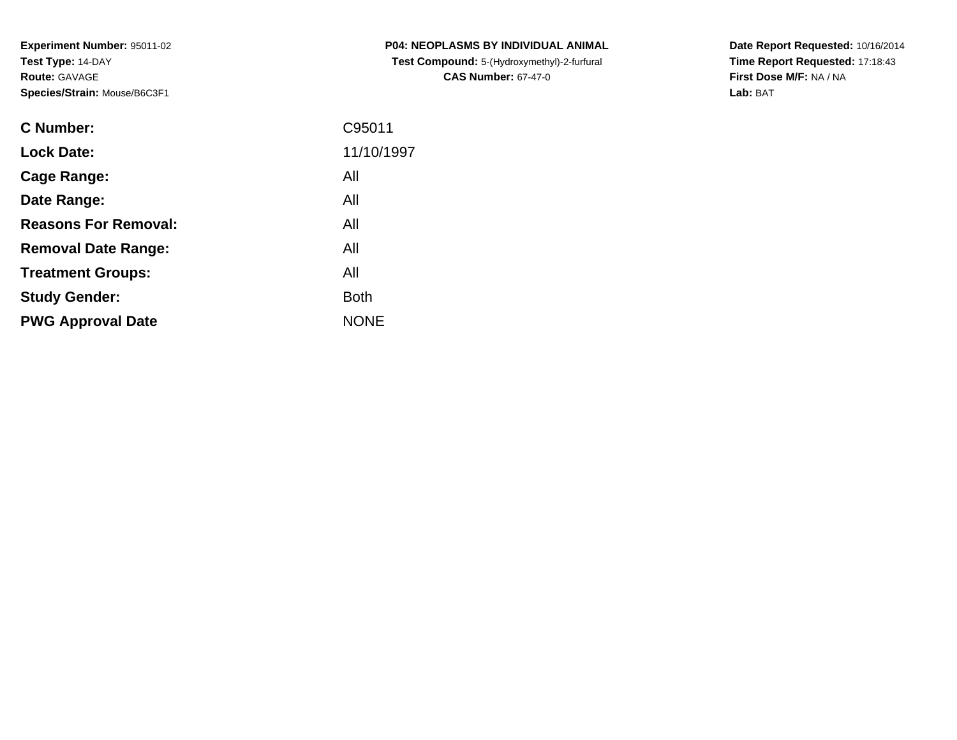| <b>C Number:</b>            | C95011      |
|-----------------------------|-------------|
| <b>Lock Date:</b>           | 11/10/1997  |
| <b>Cage Range:</b>          | All         |
| Date Range:                 | All         |
| <b>Reasons For Removal:</b> | All         |
| <b>Removal Date Range:</b>  | All         |
| <b>Treatment Groups:</b>    | All         |
| <b>Study Gender:</b>        | <b>Both</b> |
| <b>PWG Approval Date</b>    | <b>NONE</b> |
|                             |             |

**P04: NEOPLASMS BY INDIVIDUAL ANIMAL Test Compound:** 5-(Hydroxymethyl)-2-furfural **CAS Number:** 67-47-0

**Date Report Requested:** 10/16/2014 **Time Report Requested:** 17:18:43**First Dose M/F:** NA / NA**Lab:** BAT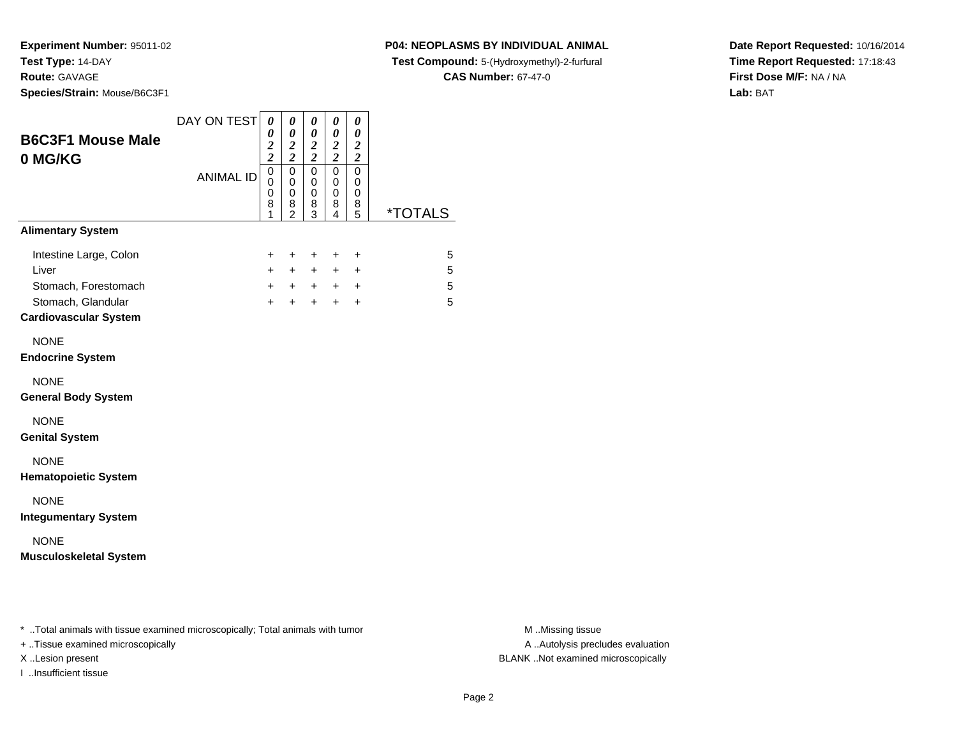**Species/Strain:** Mouse/B6C3F1

**P04: NEOPLASMS BY INDIVIDUAL ANIMAL**

**Test Compound:** 5-(Hydroxymethyl)-2-furfural

**CAS Number:** 67-47-0

**Date Report Requested:** 10/16/2014**Time Report Requested:** 17:18:43**First Dose M/F:** NA / NA**Lab:** BAT

| <b>B6C3F1 Mouse Male</b><br>0 MG/KG                                                                           | DAY ON TEST      | $\boldsymbol{\theta}$<br>0<br>$\frac{2}{2}$ | 0<br>0<br>$\boldsymbol{2}$<br>$\overline{\mathbf{c}}$  | 0<br>0<br>$\frac{2}{2}$               | 0<br>0<br>$\frac{2}{2}$                   | 0<br>$\boldsymbol{\theta}$<br>$\boldsymbol{2}$<br>$\overline{c}$ |                       |
|---------------------------------------------------------------------------------------------------------------|------------------|---------------------------------------------|--------------------------------------------------------|---------------------------------------|-------------------------------------------|------------------------------------------------------------------|-----------------------|
|                                                                                                               | <b>ANIMAL ID</b> | 0<br>0<br>0<br>8<br>1                       | $\mathbf 0$<br>0<br>$\mathbf 0$<br>8<br>$\overline{2}$ | $\pmb{0}$<br>0<br>$\pmb{0}$<br>8<br>3 | $\mathbf 0$<br>0<br>$\mathbf 0$<br>8<br>4 | $\mathbf 0$<br>0<br>0<br>8<br>5                                  | <i><b>*TOTALS</b></i> |
| <b>Alimentary System</b>                                                                                      |                  |                                             |                                                        |                                       |                                           |                                                                  |                       |
| Intestine Large, Colon<br>Liver<br>Stomach, Forestomach<br>Stomach, Glandular<br><b>Cardiovascular System</b> |                  | +<br>$\ddot{}$<br>$\ddot{}$<br>$+$          | $\ddot{}$<br>$+$<br>$+$<br>$+$                         | $\ddot{}$<br>$+$<br>$+$<br>$+$        | +<br>$+$<br>$+$<br>$+$                    | $\ddot{}$<br>$\ddot{}$<br>$\ddot{}$<br>$\ddot{}$                 | 5<br>5<br>5<br>5      |
| <b>NONE</b><br><b>Endocrine System</b>                                                                        |                  |                                             |                                                        |                                       |                                           |                                                                  |                       |
| <b>NONE</b><br><b>General Body System</b>                                                                     |                  |                                             |                                                        |                                       |                                           |                                                                  |                       |
| <b>NONE</b><br><b>Genital System</b>                                                                          |                  |                                             |                                                        |                                       |                                           |                                                                  |                       |
| <b>NONE</b><br><b>Hematopoietic System</b>                                                                    |                  |                                             |                                                        |                                       |                                           |                                                                  |                       |
| <b>NONE</b><br><b>Integumentary System</b>                                                                    |                  |                                             |                                                        |                                       |                                           |                                                                  |                       |
| <b>NONE</b><br><b>Musculoskeletal System</b>                                                                  |                  |                                             |                                                        |                                       |                                           |                                                                  |                       |

+ ..Tissue examined microscopically

I ..Insufficient tissue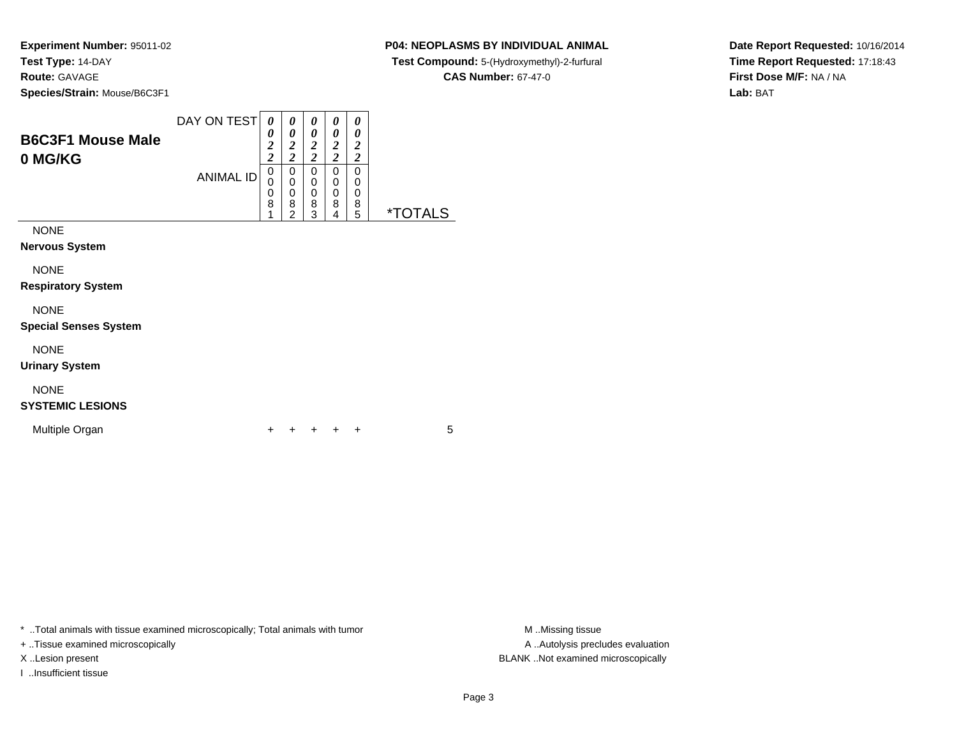### **P04: NEOPLASMS BY INDIVIDUAL ANIMAL**

**Test Compound:** 5-(Hydroxymethyl)-2-furfural

**CAS Number:** 67-47-0

**Date Report Requested:** 10/16/2014**Time Report Requested:** 17:18:43**First Dose M/F:** NA / NA**Lab:** BAT

| <b>B6C3F1 Mouse Male</b><br>0 MG/KG       | DAY ON TEST<br><b>ANIMAL ID</b> | 0<br>0<br>$\overline{2}$<br>$\overline{2}$<br>0<br>0<br>0<br>8 | 0<br>0<br>2<br>$\overline{\mathbf{c}}$<br>0<br>0<br>0<br>8<br>າ | 0<br>0<br>2<br>2<br>0<br>0<br>0<br>8<br>3 | 0<br>0<br>$\overline{2}$<br>2<br>0<br>0<br>0<br>8<br>4 | 0<br>0<br>2<br>2<br>0<br>0<br>0<br>8<br>5 | <i><b>*TOTALS</b></i> |
|-------------------------------------------|---------------------------------|----------------------------------------------------------------|-----------------------------------------------------------------|-------------------------------------------|--------------------------------------------------------|-------------------------------------------|-----------------------|
| <b>NONE</b><br><b>Nervous System</b><br>. |                                 |                                                                |                                                                 |                                           |                                                        |                                           |                       |

NONE

**Respiratory System**

### NONE

**Special Senses System**

NONE

**Urinary System**

### NONE

### **SYSTEMIC LESIONS**

Multiple Organn  $+$ 

<sup>+</sup> <sup>+</sup> <sup>+</sup> <sup>+</sup> <sup>5</sup>

\* ..Total animals with tissue examined microscopically; Total animals with tumor **M** . Missing tissue M ..Missing tissue

+ ..Tissue examined microscopically

I ..Insufficient tissue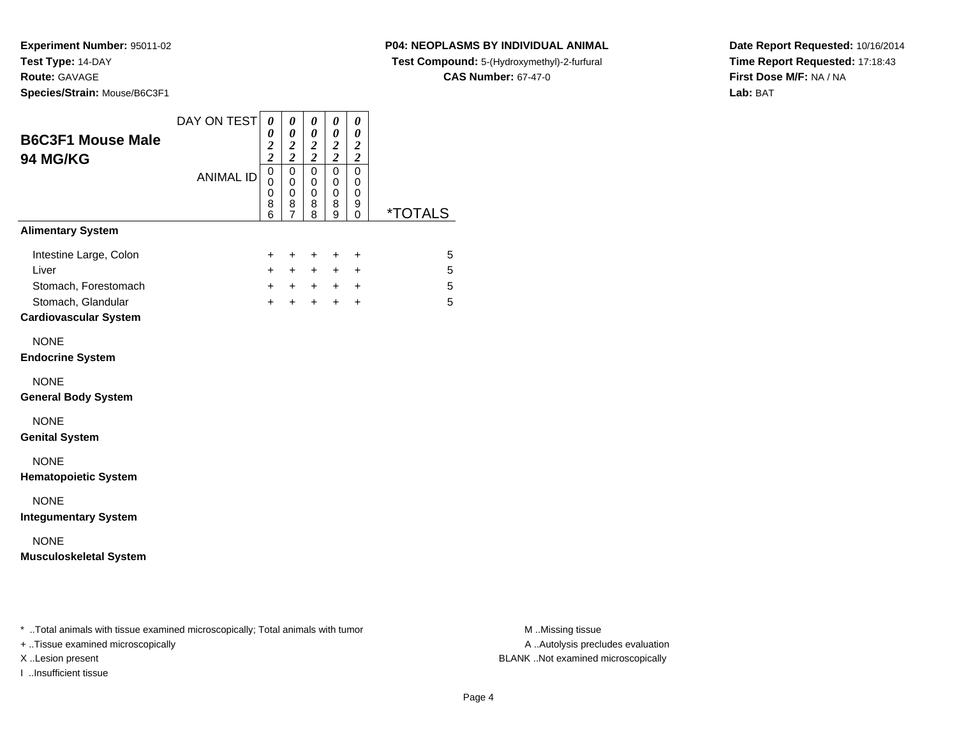#### **P04: NEOPLASMS BY INDIVIDUAL ANIMAL**

**Test Compound:** 5-(Hydroxymethyl)-2-furfural

**CAS Number:** 67-47-0

**Date Report Requested:** 10/16/2014**Time Report Requested:** 17:18:43**First Dose M/F:** NA / NA**Lab:** BAT

| <b>ANIMAL ID</b> | $\overline{c}$<br>$\overline{0}$<br>0<br>$\mathbf 0$<br>8<br>6<br>+<br>$\ddot{}$<br>$+$ | $\overline{\mathbf{c}}$<br>$\mathbf 0$<br>0<br>$\mathbf 0$<br>8<br>7<br>+<br>$\pm$<br>$+$ | $\overline{\mathbf{c}}$<br>0<br>0<br>$\mathbf 0$<br>8<br>8<br>$\ddot{}$<br>$\pm$ | $\boldsymbol{2}$<br>$\mathbf 0$<br>0<br>$\mathbf 0$<br>8<br>9<br>+<br>$+$ | $\overline{c}$<br>$\mathbf 0$<br>0<br>0<br>9<br>0<br>+<br>+ | <i><b>*TOTALS</b></i><br>5 |
|------------------|-----------------------------------------------------------------------------------------|-------------------------------------------------------------------------------------------|----------------------------------------------------------------------------------|---------------------------------------------------------------------------|-------------------------------------------------------------|----------------------------|
|                  |                                                                                         |                                                                                           |                                                                                  |                                                                           |                                                             |                            |
|                  |                                                                                         |                                                                                           |                                                                                  |                                                                           |                                                             |                            |
|                  | $\ddot{}$                                                                               | $+$                                                                                       | $+$<br>$+$                                                                       | $+$<br>$\ddot{}$                                                          | $\ddot{}$<br>$+$                                            | 5<br>5<br>5                |
|                  |                                                                                         |                                                                                           |                                                                                  |                                                                           |                                                             |                            |
|                  |                                                                                         |                                                                                           |                                                                                  |                                                                           |                                                             |                            |
|                  |                                                                                         |                                                                                           |                                                                                  |                                                                           |                                                             |                            |
|                  |                                                                                         |                                                                                           |                                                                                  |                                                                           |                                                             |                            |
|                  |                                                                                         |                                                                                           |                                                                                  |                                                                           |                                                             |                            |
|                  |                                                                                         |                                                                                           |                                                                                  |                                                                           |                                                             |                            |
|                  |                                                                                         |                                                                                           |                                                                                  |                                                                           |                                                             |                            |

+ ..Tissue examined microscopically

I ..Insufficient tissue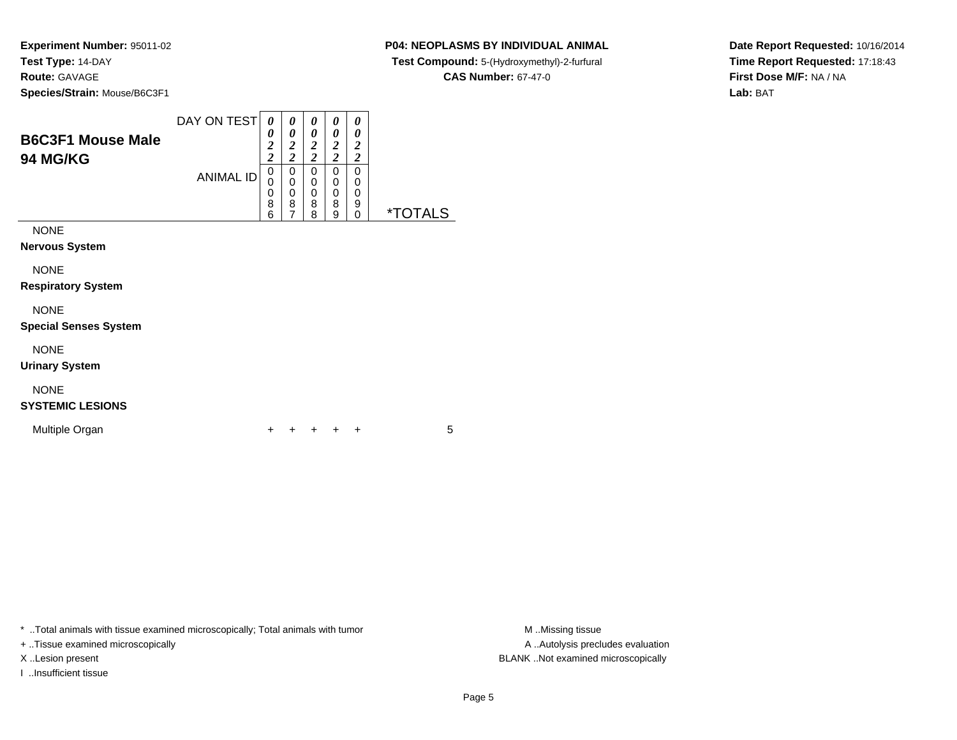### **P04: NEOPLASMS BY INDIVIDUAL ANIMAL**

**Test Compound:** 5-(Hydroxymethyl)-2-furfural

**CAS Number:** 67-47-0

**Date Report Requested:** 10/16/2014**Time Report Requested:** 17:18:43**First Dose M/F:** NA / NA**Lab:** BAT

| <b>B6C3F1 Mouse Male</b><br><b>94 MG/KG</b>         | DAY ON TEST<br><b>ANIMAL ID</b> | 0<br>0<br>2<br>$\overline{2}$<br>0<br>0<br>0<br>8<br>6 | 0<br>0<br>2<br>າ<br>0<br>0<br>0<br>8<br>7 | 0<br>0<br>$\overline{2}$<br>$\overline{2}$<br>0<br>0<br>$\mathbf 0$<br>8<br>8 | 0<br>0<br>$\overline{2}$<br>$\overline{2}$<br>0<br>0<br>$\mathbf 0$<br>8<br>9 | 0<br>0<br>2<br>2<br>0<br>0<br>0<br>9<br>0 | <i><b>*TOTALS</b></i> |
|-----------------------------------------------------|---------------------------------|--------------------------------------------------------|-------------------------------------------|-------------------------------------------------------------------------------|-------------------------------------------------------------------------------|-------------------------------------------|-----------------------|
| <b>NONE</b><br><b>Nervous System</b><br><b>NONE</b> |                                 |                                                        |                                           |                                                                               |                                                                               |                                           |                       |

**Respiratory System**

NONE

**Special Senses System**

NONE

**Urinary System**

## NONE

### **SYSTEMIC LESIONS**

Multiple Organn  $+$ 

<sup>+</sup> <sup>+</sup> <sup>+</sup> <sup>+</sup> <sup>5</sup>

\* ..Total animals with tissue examined microscopically; Total animals with tumor

+ ..Tissue examined microscopically

I ..Insufficient tissue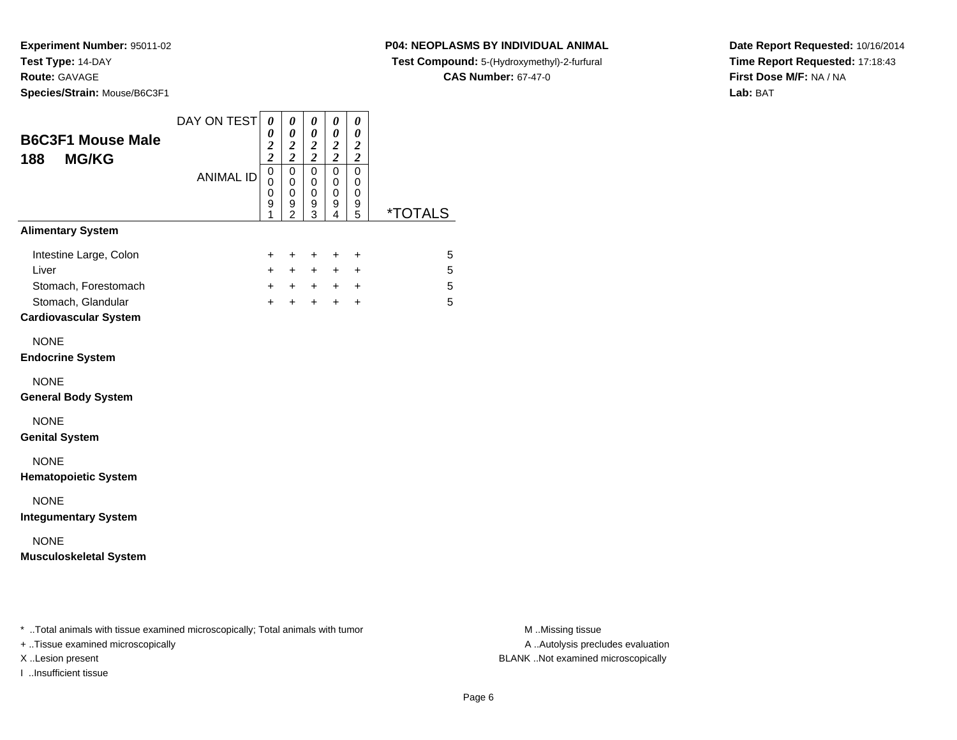**P04: NEOPLASMS BY INDIVIDUAL ANIMAL**

**Test Compound:** 5-(Hydroxymethyl)-2-furfural

**CAS Number:** 67-47-0

**Date Report Requested:** 10/16/2014**Time Report Requested:** 17:18:43**First Dose M/F:** NA / NA**Lab:** BAT

| <b>B6C3F1 Mouse Male</b><br><b>MG/KG</b><br>188                                                                   | DAY ON TEST      | 0<br>0<br>$\frac{2}{2}$                                | 0<br>$\theta$<br>$\overline{\mathbf{c}}$<br>$\overline{2}$ | 0<br>0<br>$\boldsymbol{2}$<br>$\overline{c}$ | 0<br>0<br>$\boldsymbol{2}$<br>$\overline{\mathbf{c}}$ | 0<br>0<br>$\boldsymbol{2}$<br>$\overline{c}$ |                       |
|-------------------------------------------------------------------------------------------------------------------|------------------|--------------------------------------------------------|------------------------------------------------------------|----------------------------------------------|-------------------------------------------------------|----------------------------------------------|-----------------------|
|                                                                                                                   | <b>ANIMAL ID</b> | $\overline{0}$<br>$\mathbf 0$<br>$\mathbf 0$<br>9<br>1 | $\mathbf 0$<br>0<br>0<br>9<br>$\overline{2}$               | $\mathbf 0$<br>0<br>0<br>9<br>3              | $\mathbf 0$<br>0<br>0<br>9<br>4                       | $\mathbf 0$<br>0<br>0<br>9<br>5              | <i><b>*TOTALS</b></i> |
| <b>Alimentary System</b>                                                                                          |                  |                                                        |                                                            |                                              |                                                       |                                              |                       |
| Intestine Large, Colon<br>Liver<br>Stomach, Forestomach<br>Stomach, Glandular<br><b>Cardiovascular System</b>     |                  | +<br>$+$<br>$+$<br>$+$                                 | +<br>$+$<br>$+$<br>$+$                                     | $\ddot{}$<br>$+$<br>$+$<br>$+$               | +<br>$+$<br>$+$                                       | +<br>$\ddot{}$<br>$+$ $+$<br>$\ddot{}$       | 5<br>5<br>5<br>5      |
| <b>NONE</b><br><b>Endocrine System</b>                                                                            |                  |                                                        |                                                            |                                              |                                                       |                                              |                       |
| <b>NONE</b><br><b>General Body System</b>                                                                         |                  |                                                        |                                                            |                                              |                                                       |                                              |                       |
| <b>NONE</b><br><b>Genital System</b>                                                                              |                  |                                                        |                                                            |                                              |                                                       |                                              |                       |
| <b>NONE</b><br><b>Hematopoietic System</b>                                                                        |                  |                                                        |                                                            |                                              |                                                       |                                              |                       |
| <b>NONE</b><br><b>Integumentary System</b>                                                                        |                  |                                                        |                                                            |                                              |                                                       |                                              |                       |
| <b>NONE</b><br><b>Musculoskeletal System</b>                                                                      |                  |                                                        |                                                            |                                              |                                                       |                                              |                       |
|                                                                                                                   |                  |                                                        |                                                            |                                              |                                                       |                                              |                       |
| * Total animals with tissue examined microscopically; Total animals with tumor<br>Tingua avamingd miarogaaniaally |                  |                                                        |                                                            |                                              |                                                       |                                              |                       |

+ ..Tissue examined microscopically

I ..Insufficient tissue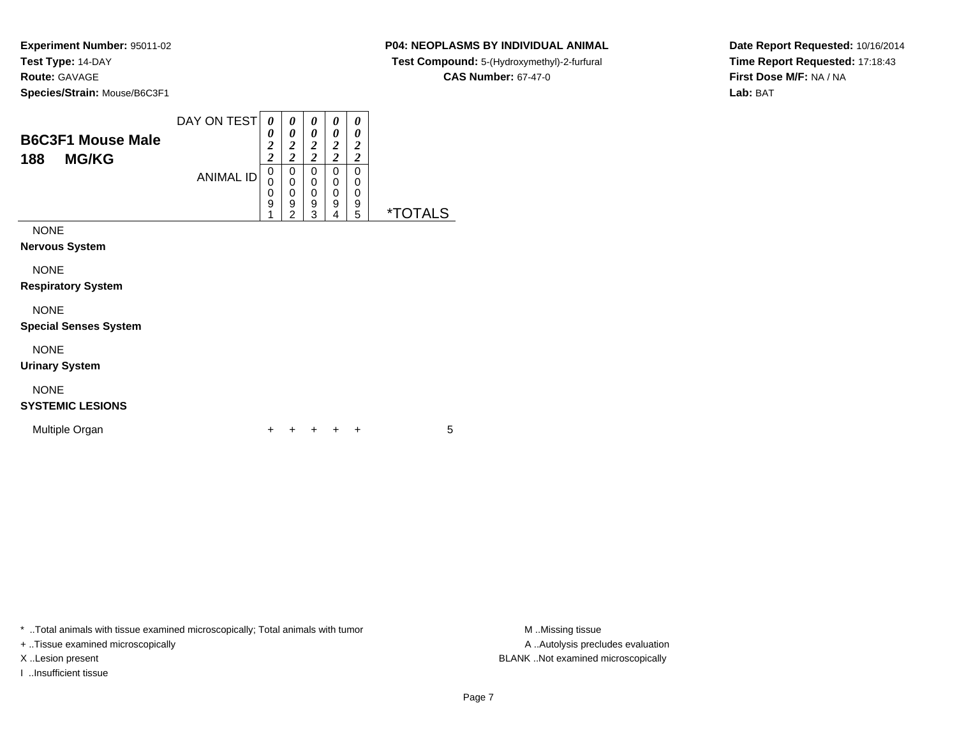### **P04: NEOPLASMS BY INDIVIDUAL ANIMAL**

**Test Compound:** 5-(Hydroxymethyl)-2-furfural

**CAS Number:** 67-47-0

**Date Report Requested:** 10/16/2014**Time Report Requested:** 17:18:43**First Dose M/F:** NA / NA**Lab:** BAT

| <b>B6C3F1 Mouse Male</b><br><b>MG/KG</b><br>188 | DAY ON TEST<br><b>ANIMAL ID</b> | 0<br>0<br>$\overline{2}$<br>$\overline{c}$<br>0<br>0<br>0<br>9 | 0<br>0<br>$\overline{c}$<br>$\overline{\mathbf{c}}$<br>0<br>0<br>0<br>9<br>ົ | 0<br>0<br>2<br>2<br>0<br>0<br>0<br>9<br>3 | 0<br>0<br>$\overline{2}$<br>2<br>0<br>0<br>0<br>9<br>4 | 0<br>0<br>2<br>2<br>0<br>0<br>0<br>9<br>5 | <i><b>*TOTALS</b></i> |
|-------------------------------------------------|---------------------------------|----------------------------------------------------------------|------------------------------------------------------------------------------|-------------------------------------------|--------------------------------------------------------|-------------------------------------------|-----------------------|
| <b>NONE</b><br><b>Nervous System</b>            |                                 |                                                                |                                                                              |                                           |                                                        |                                           |                       |

NONE

**Respiratory System**

### NONE

**Special Senses System**

NONE

**Urinary System**

### NONE

### **SYSTEMIC LESIONS**

Multiple Organn  $+$ 

<sup>+</sup> <sup>+</sup> <sup>+</sup> <sup>+</sup> <sup>5</sup>

\* ..Total animals with tissue examined microscopically; Total animals with tumor **M** . Missing tissue M ..Missing tissue

+ ..Tissue examined microscopically

I ..Insufficient tissue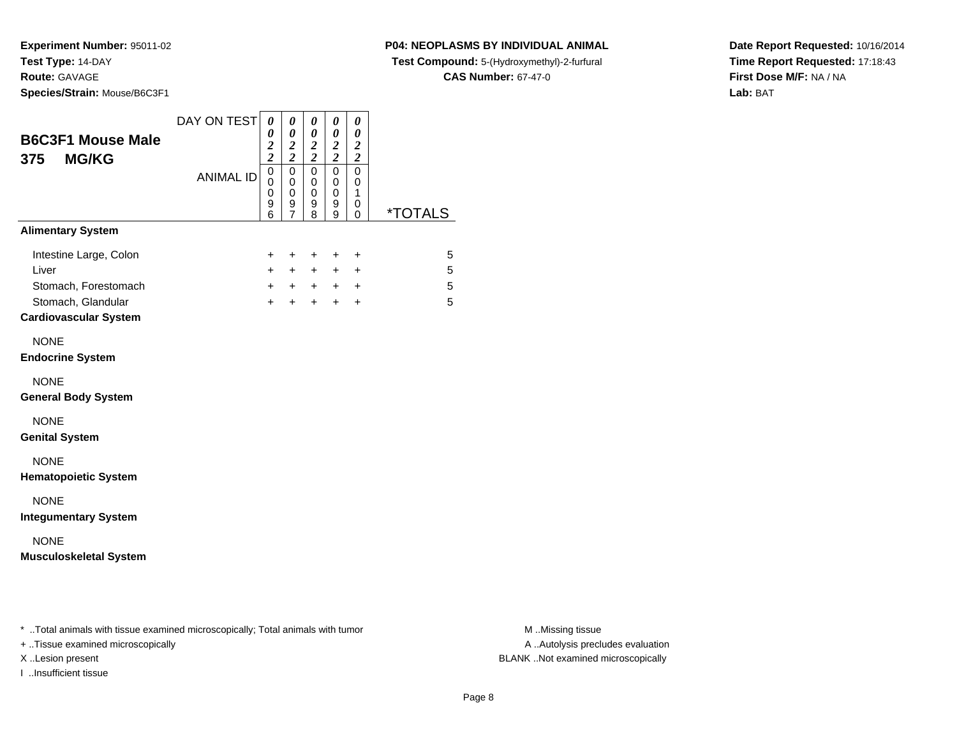**P04: NEOPLASMS BY INDIVIDUAL ANIMAL**

**Test Compound:** 5-(Hydroxymethyl)-2-furfural

**CAS Number:** 67-47-0

**Date Report Requested:** 10/16/2014**Time Report Requested:** 17:18:43**First Dose M/F:** NA / NA**Lab:** BAT

|                  | 0<br>$\boldsymbol{2}$      | 0<br>$\boldsymbol{2}$        | $\pmb{\theta}$<br>$\frac{2}{2}$  | $\boldsymbol{\theta}$<br>$\boldsymbol{2}$ | 0<br>$\boldsymbol{2}$                             |                                                       |
|------------------|----------------------------|------------------------------|----------------------------------|-------------------------------------------|---------------------------------------------------|-------------------------------------------------------|
| <b>ANIMAL ID</b> | $\mathbf 0$<br>0<br>0<br>9 | $\mathbf 0$<br>0<br>0<br>9   | 0<br>0<br>0<br>9                 | $\mathbf 0$<br>0<br>0<br>9                | $\mathbf 0$<br>0<br>1<br>0                        | <i><b>*TOTALS</b></i>                                 |
|                  |                            |                              |                                  |                                           |                                                   |                                                       |
|                  | +<br>$+$<br>$+$<br>$+$     | $\ddot{}$<br>$+$<br>$+$      | $\ddot{}$                        | +                                         | $\ddot{}$<br>$\ddot{}$<br>$\ddot{}$               | 5<br>5<br>5<br>5                                      |
|                  |                            |                              |                                  |                                           |                                                   |                                                       |
|                  |                            |                              |                                  |                                           |                                                   |                                                       |
|                  |                            |                              |                                  |                                           |                                                   |                                                       |
|                  |                            |                              |                                  |                                           |                                                   |                                                       |
|                  |                            |                              |                                  |                                           |                                                   |                                                       |
|                  |                            |                              |                                  |                                           |                                                   |                                                       |
|                  |                            |                              |                                  |                                           |                                                   |                                                       |
|                  |                            | $\overline{\mathbf{c}}$<br>6 | $\overline{2}$<br>$\overline{7}$ | 8<br>$+$                                  | $\overline{\mathbf{c}}$<br>9<br>$+$<br>$+$<br>$+$ | $\overline{\mathbf{c}}$<br>0<br>$+$<br>$+$ $+$<br>$+$ |

+ ..Tissue examined microscopically

I ..Insufficient tissue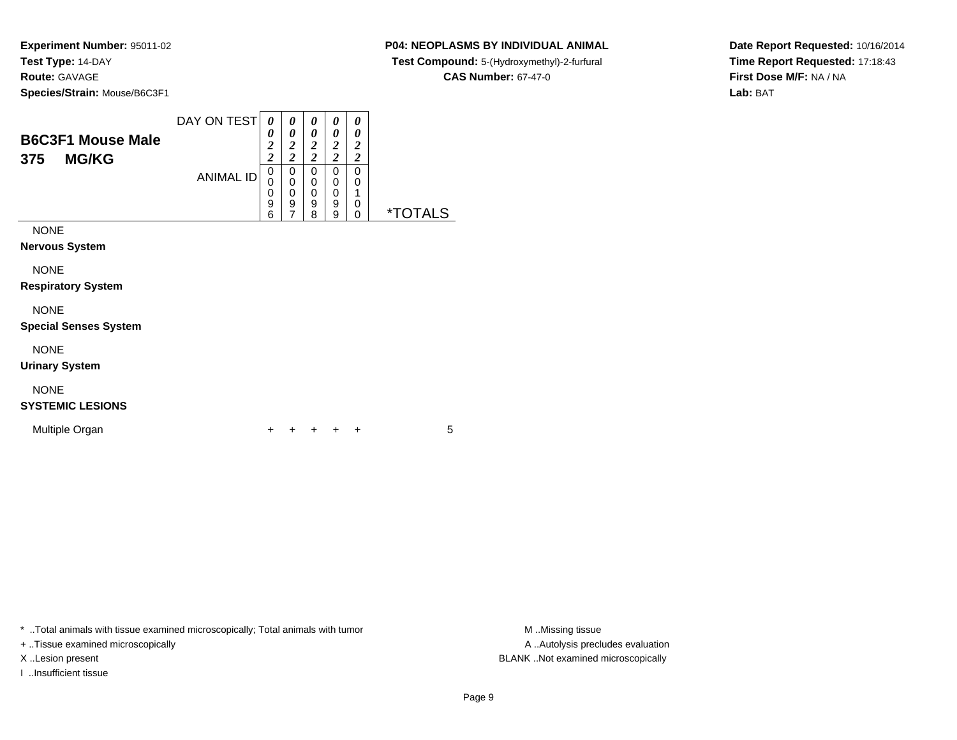### **P04: NEOPLASMS BY INDIVIDUAL ANIMAL**

**Test Compound:** 5-(Hydroxymethyl)-2-furfural

**CAS Number:** 67-47-0

 $\overline{\phantom{0}}$ 

**Date Report Requested:** 10/16/2014**Time Report Requested:** 17:18:43**First Dose M/F:** NA / NA**Lab:** BAT

| <b>B6C3F1 Mouse Male</b><br><b>MG/KG</b><br>375 | DAY ON TEST<br><b>ANIMAL ID</b> | 0<br>0<br>$\boldsymbol{2}$<br>$\overline{2}$<br>0<br>0<br>0<br>9<br>6 | 0<br>0<br>2<br>2<br>0<br>0<br>0<br>9<br>⇁ | 0<br>0<br>2<br>$\overline{2}$<br>0<br>0<br>0<br>9<br>8 | 0<br>0<br>$\overline{2}$<br><u>ာ</u><br>0<br>0<br>0<br>9<br>9 | 0<br>0<br>2<br>2<br>0<br>0<br>0<br>O | ×٦<br>∣ S |
|-------------------------------------------------|---------------------------------|-----------------------------------------------------------------------|-------------------------------------------|--------------------------------------------------------|---------------------------------------------------------------|--------------------------------------|-----------|
| <b>NONE</b><br><b>Nervous System</b><br>.       |                                 |                                                                       |                                           |                                                        |                                                               |                                      |           |

NONE

**Respiratory System**

### NONE

**Special Senses System**

NONE

**Urinary System**

## NONE

### **SYSTEMIC LESIONS**

Multiple Organn  $+$ 

<sup>+</sup> <sup>+</sup> <sup>+</sup> <sup>+</sup> <sup>5</sup>

\* ..Total animals with tissue examined microscopically; Total animals with tumor **M** . Missing tissue M ..Missing tissue

+ ..Tissue examined microscopically

I ..Insufficient tissue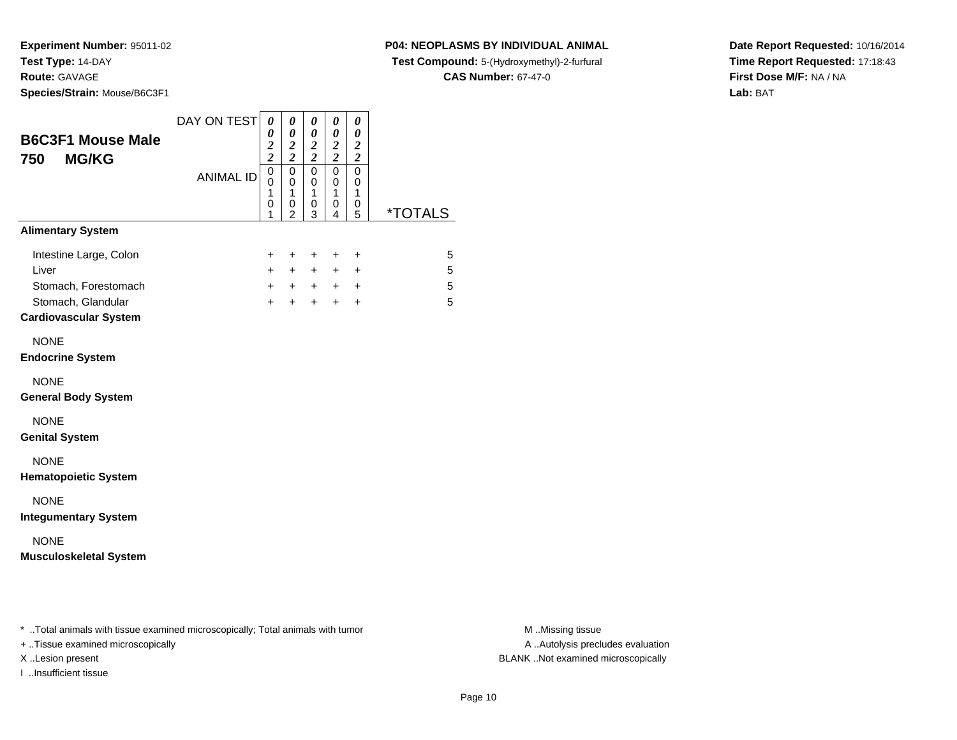**Species/Strain:** Mouse/B6C3F1

### **P04: NEOPLASMS BY INDIVIDUAL ANIMAL**

**Test Compound:** 5-(Hydroxymethyl)-2-furfural

**CAS Number:** 67-47-0

**Date Report Requested:** 10/16/2014**Time Report Requested:** 17:18:43**First Dose M/F:** NA / NA**Lab:** BAT

| <b>B6C3F1 Mouse Male</b><br>750<br><b>MG/KG</b>                                                               | DAY ON TEST      | $\boldsymbol{\theta}$<br>$\boldsymbol{\theta}$<br>$\frac{2}{2}$ | 0<br>0<br>$\boldsymbol{2}$<br>$\overline{2}$            | $\pmb{\theta}$<br>0<br>$\boldsymbol{2}$<br>$\overline{2}$ | 0<br>$\pmb{\theta}$<br>$\frac{2}{2}$ | 0<br>0<br>$\frac{2}{2}$                          |                       |
|---------------------------------------------------------------------------------------------------------------|------------------|-----------------------------------------------------------------|---------------------------------------------------------|-----------------------------------------------------------|--------------------------------------|--------------------------------------------------|-----------------------|
|                                                                                                               | <b>ANIMAL ID</b> | $\mathbf 0$<br>0<br>1<br>0<br>1                                 | $\mathbf 0$<br>0<br>$\mathbf{1}$<br>0<br>$\mathfrak{p}$ | $\mathbf 0$<br>0<br>$\mathbf{1}$<br>0<br>3                | $\mathbf 0$<br>0<br>1<br>0<br>4      | $\mathbf 0$<br>0<br>$\mathbf{1}$<br>0<br>5       | <i><b>*TOTALS</b></i> |
| <b>Alimentary System</b>                                                                                      |                  |                                                                 |                                                         |                                                           |                                      |                                                  |                       |
| Intestine Large, Colon<br>Liver<br>Stomach, Forestomach<br>Stomach, Glandular<br><b>Cardiovascular System</b> |                  | $\ddot{}$<br>$\ddot{}$<br>$+$<br>$+$                            | $\ddot{}$<br>$+$<br>$+$<br>$+$                          | $\ddot{}$<br>$+$<br>$+$<br>$\pm$                          | $\ddot{}$<br>$+$<br>$+$<br>$\pm$     | $\ddot{}$<br>$\ddot{}$<br>$\ddot{}$<br>$\ddot{}$ | 5<br>5<br>5<br>5      |
| <b>NONE</b><br><b>Endocrine System</b>                                                                        |                  |                                                                 |                                                         |                                                           |                                      |                                                  |                       |
| <b>NONE</b><br><b>General Body System</b>                                                                     |                  |                                                                 |                                                         |                                                           |                                      |                                                  |                       |
| <b>NONE</b><br><b>Genital System</b>                                                                          |                  |                                                                 |                                                         |                                                           |                                      |                                                  |                       |
| <b>NONE</b><br><b>Hematopoietic System</b>                                                                    |                  |                                                                 |                                                         |                                                           |                                      |                                                  |                       |
| <b>NONE</b><br><b>Integumentary System</b>                                                                    |                  |                                                                 |                                                         |                                                           |                                      |                                                  |                       |
| <b>NONE</b><br><b>Musculoskeletal System</b>                                                                  |                  |                                                                 |                                                         |                                                           |                                      |                                                  |                       |
|                                                                                                               |                  |                                                                 |                                                         |                                                           |                                      |                                                  |                       |
| * Total animals with tissue examined microscopically; Total animals with tumor                                |                  |                                                                 |                                                         |                                                           |                                      |                                                  |                       |

+ ..Tissue examined microscopically

I ..Insufficient tissue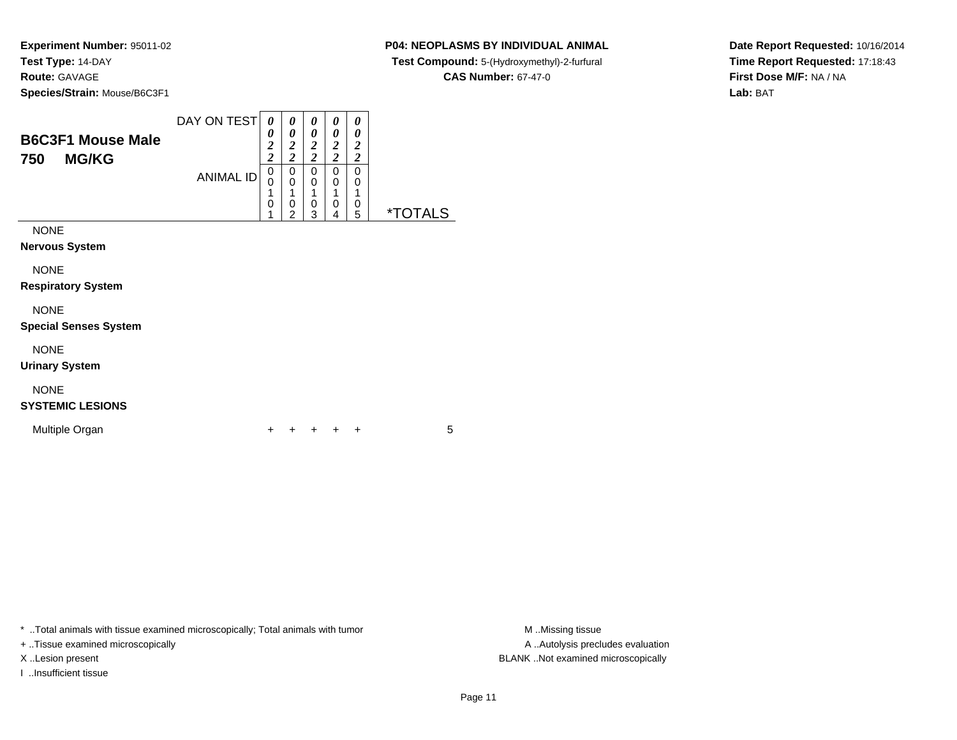### **P04: NEOPLASMS BY INDIVIDUAL ANIMAL**

**Test Compound:** 5-(Hydroxymethyl)-2-furfural

**CAS Number:** 67-47-0

**Date Report Requested:** 10/16/2014**Time Report Requested:** 17:18:43**First Dose M/F:** NA / NA**Lab:** BAT

| <b>B6C3F1 Mouse Male</b><br><b>MG/KG</b><br>750 | DAY ON TEST      | 0<br>0<br>2<br>2 | 0<br>0<br>$\overline{\mathbf{2}}$<br>2 | 0<br>0<br>2<br>$\overline{c}$ | 0<br>0<br>$\overline{2}$<br>$\overline{2}$ | 0<br>0<br>2<br>$\overline{\mathbf{c}}$ |                       |
|-------------------------------------------------|------------------|------------------|----------------------------------------|-------------------------------|--------------------------------------------|----------------------------------------|-----------------------|
|                                                 | <b>ANIMAL ID</b> | 0<br>0           | 0<br>0<br>4                            | 0<br>$\mathbf 0$              | 0<br>$\mathbf 0$<br>1                      | 0<br>0<br>1                            |                       |
|                                                 |                  | 0                | 0<br>$\mathfrak{p}$                    | 0<br>3                        | $\mathbf 0$<br>$\overline{4}$              | 0<br>5                                 | <i><b>*TOTALS</b></i> |
| <b>NONE</b>                                     |                  |                  |                                        |                               |                                            |                                        |                       |
| <b>Nervous System</b>                           |                  |                  |                                        |                               |                                            |                                        |                       |
| <b>NONE</b>                                     |                  |                  |                                        |                               |                                            |                                        |                       |
| <b>Respiratory System</b>                       |                  |                  |                                        |                               |                                            |                                        |                       |

### NONE

#### **Special Senses System**

NONE

**Urinary System**

### NONE

### **SYSTEMIC LESIONS**

Multiple Organn  $+$ 

<sup>+</sup> <sup>+</sup> <sup>+</sup> <sup>+</sup> <sup>5</sup>

\* ..Total animals with tissue examined microscopically; Total animals with tumor **M** . Missing tissue M ..Missing tissue

+ ..Tissue examined microscopically

I ..Insufficient tissue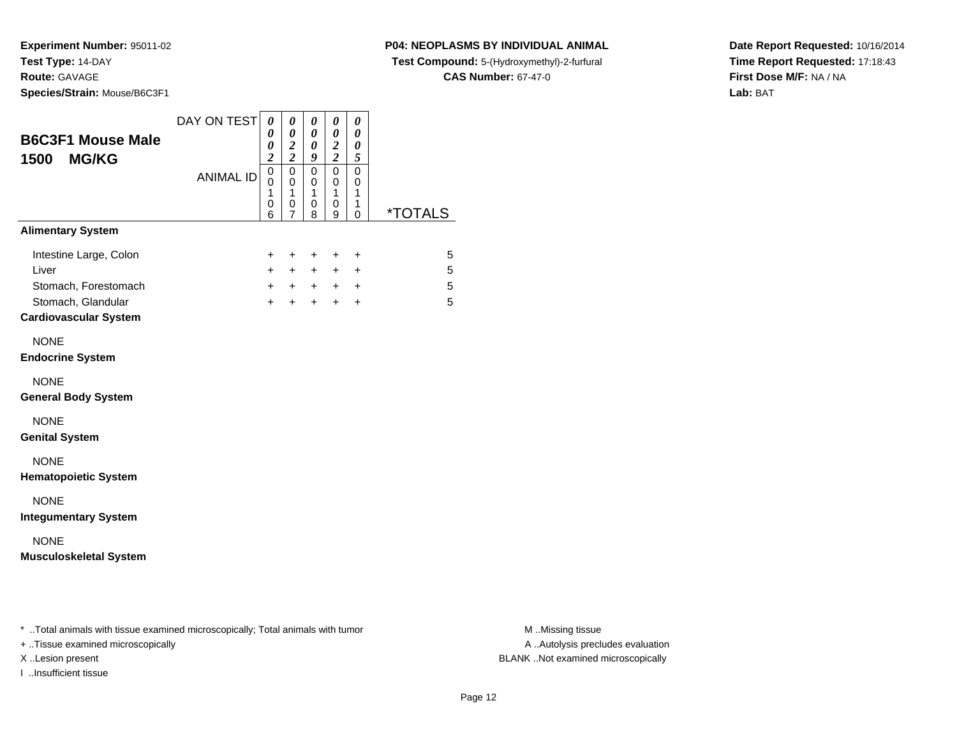### **P04: NEOPLASMS BY INDIVIDUAL ANIMAL**

**Test Compound:** 5-(Hydroxymethyl)-2-furfural

**CAS Number:** 67-47-0

**Date Report Requested:** 10/16/2014**Time Report Requested:** 17:18:43**First Dose M/F:** NA / NA**Lab:** BAT

| <b>B6C3F1 Mouse Male</b><br>1500 MG/KG                                                                        | DAY ON TEST      | $\boldsymbol{\theta}$<br>0<br>$\boldsymbol{\theta}$<br>$\overline{2}$ | 0<br>$\boldsymbol{\theta}$<br>$\overline{\mathbf{c}}$<br>$\overline{2}$ | 0<br>0<br>$\pmb{\theta}$<br>9            | 0<br>0<br>$\boldsymbol{2}$<br>$\overline{2}$ | 0<br>0<br>0<br>5                                 |                       |
|---------------------------------------------------------------------------------------------------------------|------------------|-----------------------------------------------------------------------|-------------------------------------------------------------------------|------------------------------------------|----------------------------------------------|--------------------------------------------------|-----------------------|
|                                                                                                               | <b>ANIMAL ID</b> | $\mathbf 0$<br>0<br>$\mathbf{1}$<br>0<br>6                            | $\mathbf 0$<br>0<br>1<br>0<br>7                                         | $\pmb{0}$<br>0<br>$\mathbf{1}$<br>0<br>8 | $\mathbf 0$<br>0<br>1<br>0<br>9              | $\mathbf 0$<br>0<br>1<br>1<br>0                  | <i><b>*TOTALS</b></i> |
| <b>Alimentary System</b>                                                                                      |                  |                                                                       |                                                                         |                                          |                                              |                                                  |                       |
| Intestine Large, Colon<br>Liver<br>Stomach, Forestomach<br>Stomach, Glandular<br><b>Cardiovascular System</b> |                  | +<br>$\ddot{}$<br>$+$<br>$\ddot{}$                                    | +<br>$\pm$<br>$+$<br>$\ddot{}$                                          | $\ddot{}$<br>$\pm$<br>$+$<br>$+$         | +<br>$+$<br>$+$<br>$+$                       | $\ddot{}$<br>$\ddot{}$<br>$\ddot{}$<br>$\ddot{}$ | 5<br>5<br>5<br>5      |
| <b>NONE</b><br><b>Endocrine System</b>                                                                        |                  |                                                                       |                                                                         |                                          |                                              |                                                  |                       |
| <b>NONE</b><br><b>General Body System</b>                                                                     |                  |                                                                       |                                                                         |                                          |                                              |                                                  |                       |
| <b>NONE</b><br><b>Genital System</b>                                                                          |                  |                                                                       |                                                                         |                                          |                                              |                                                  |                       |
| <b>NONE</b><br><b>Hematopoietic System</b>                                                                    |                  |                                                                       |                                                                         |                                          |                                              |                                                  |                       |
| <b>NONE</b><br><b>Integumentary System</b>                                                                    |                  |                                                                       |                                                                         |                                          |                                              |                                                  |                       |
| <b>NONE</b><br><b>Musculoskeletal System</b>                                                                  |                  |                                                                       |                                                                         |                                          |                                              |                                                  |                       |
| * Total animals with tissue examined microscopically; Total animals with tumor                                |                  |                                                                       |                                                                         |                                          |                                              |                                                  |                       |

+ ..Tissue examined microscopically

I ..Insufficient tissue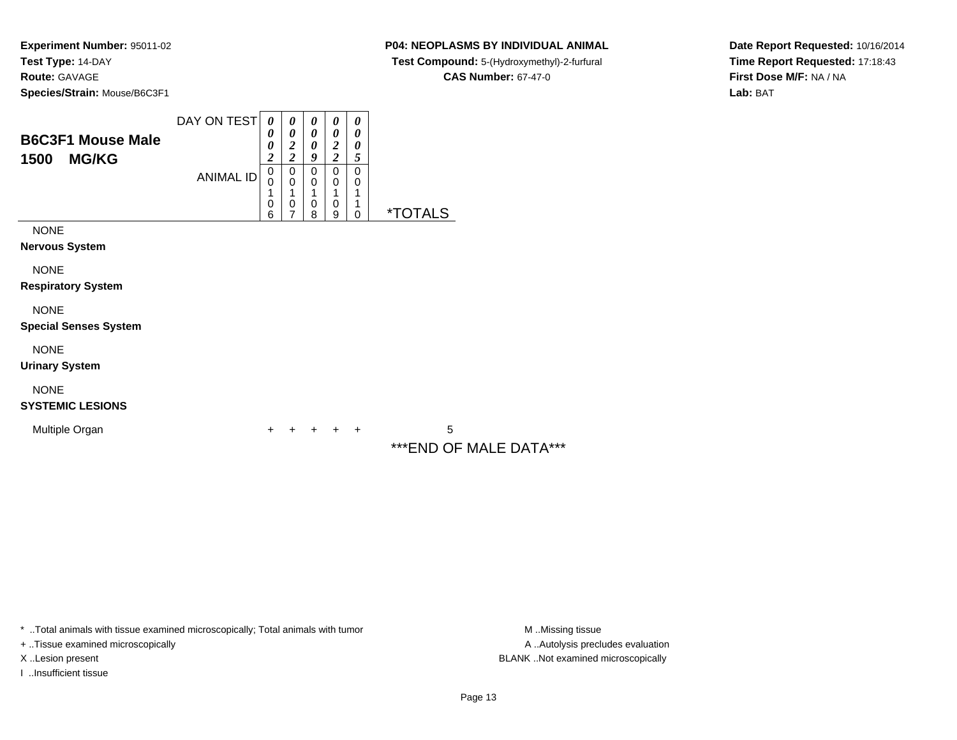### **P04: NEOPLASMS BY INDIVIDUAL ANIMAL**

**Test Compound:** 5-(Hydroxymethyl)-2-furfural

**CAS Number:** 67-47-0

**Date Report Requested:** 10/16/2014**Time Report Requested:** 17:18:43**First Dose M/F:** NA / NA**Lab:** BAT

| <b>B6C3F1 Mouse Male</b><br><b>MG/KG</b><br>1500 | DAY ON TEST<br><b>ANIMAL ID</b> | 0<br>0<br>0<br>$\overline{c}$<br>$\pmb{0}$<br>$\mathbf 0$<br>$\mathbf{1}$<br>0<br>6 | 0<br>0<br>$\overline{2}$<br>$\overline{\mathbf{c}}$<br>$\mathbf 0$<br>$\mathbf 0$<br>1<br>0<br>7 | 0<br>0<br>0<br>9<br>$\mathbf 0$<br>0<br>1<br>0<br>8 | 0<br>$\boldsymbol{\theta}$<br>$\boldsymbol{2}$<br>$\overline{c}$<br>$\mathbf 0$<br>0<br>1<br>0<br>9 | 0<br>0<br>0<br>5<br>$\mathbf 0$<br>0<br>1<br>1<br>0 | <i><b>*TOTALS</b></i> |
|--------------------------------------------------|---------------------------------|-------------------------------------------------------------------------------------|--------------------------------------------------------------------------------------------------|-----------------------------------------------------|-----------------------------------------------------------------------------------------------------|-----------------------------------------------------|-----------------------|
| <b>NONE</b><br><b>Nervous System</b>             |                                 |                                                                                     |                                                                                                  |                                                     |                                                                                                     |                                                     |                       |
| <b>NONE</b><br><b>Respiratory System</b>         |                                 |                                                                                     |                                                                                                  |                                                     |                                                                                                     |                                                     |                       |
| <b>NONE</b><br><b>Special Senses System</b>      |                                 |                                                                                     |                                                                                                  |                                                     |                                                                                                     |                                                     |                       |
| <b>NONE</b><br><b>Urinary System</b>             |                                 |                                                                                     |                                                                                                  |                                                     |                                                                                                     |                                                     |                       |
| <b>NONE</b><br><b>SYSTEMIC LESIONS</b>           |                                 |                                                                                     |                                                                                                  |                                                     |                                                                                                     |                                                     |                       |
| Multiple Organ                                   |                                 |                                                                                     |                                                                                                  |                                                     |                                                                                                     | ٠                                                   | 5                     |

\*\*\*END OF MALE DATA\*\*\*

\* ..Total animals with tissue examined microscopically; Total animals with tumor

+ ..Tissue examined microscopically

I ..Insufficient tissue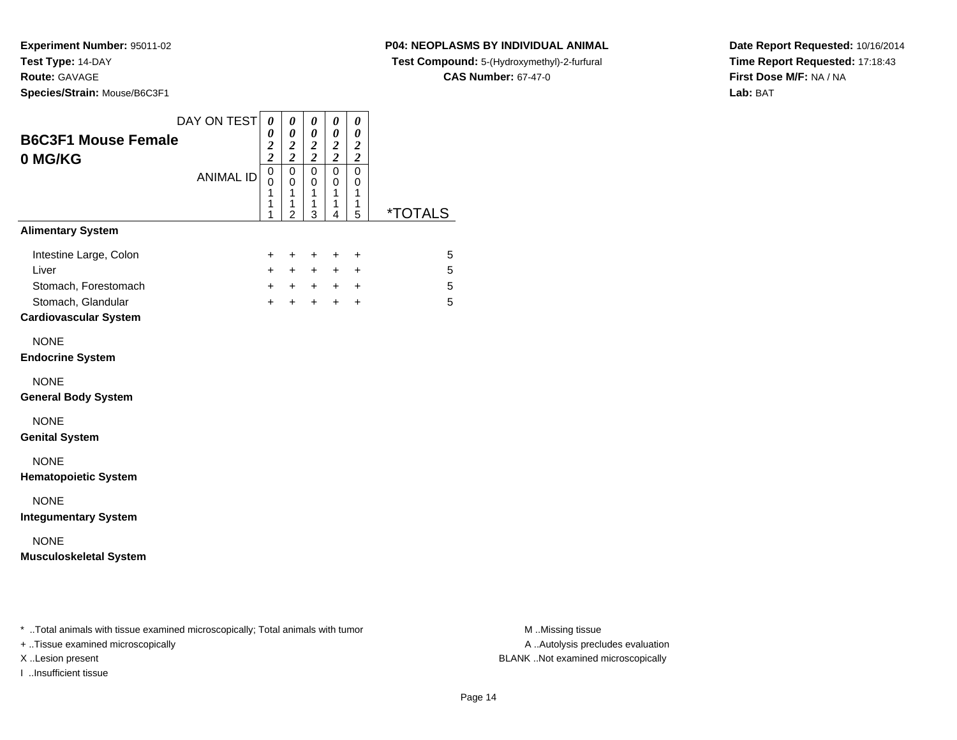**Species/Strain:** Mouse/B6C3F1

### **P04: NEOPLASMS BY INDIVIDUAL ANIMAL**

**Test Compound:** 5-(Hydroxymethyl)-2-furfural

**CAS Number:** 67-47-0

**Date Report Requested:** 10/16/2014**Time Report Requested:** 17:18:43**First Dose M/F:** NA / NA**Lab:** BAT

| <b>B6C3F1 Mouse Female</b><br>0 MG/KG                                                                         | DAY ON TEST      | 0<br>0<br>$\frac{2}{2}$         | 0<br>0<br>$\frac{2}{2}$                                | 0<br>0<br>$\frac{2}{2}$         | 0<br>0<br>$\frac{2}{2}$         | 0<br>0<br>$\frac{2}{2}$                  |                       |
|---------------------------------------------------------------------------------------------------------------|------------------|---------------------------------|--------------------------------------------------------|---------------------------------|---------------------------------|------------------------------------------|-----------------------|
|                                                                                                               | <b>ANIMAL ID</b> | $\mathbf 0$<br>0<br>1<br>1<br>1 | $\mathbf 0$<br>$\mathbf 0$<br>1<br>1<br>$\overline{2}$ | 0<br>$\mathbf 0$<br>1<br>1<br>3 | 0<br>$\mathbf 0$<br>1<br>1<br>4 | 0<br>0<br>1<br>1<br>5                    | <i><b>*TOTALS</b></i> |
| <b>Alimentary System</b>                                                                                      |                  |                                 |                                                        |                                 |                                 |                                          |                       |
| Intestine Large, Colon<br>Liver<br>Stomach, Forestomach<br>Stomach, Glandular<br><b>Cardiovascular System</b> |                  | +<br>$+$<br>$+$<br>$+$          | +<br>$+$<br>$+$<br>$+$                                 | $\pm$<br>$+$<br>$+$<br>$+$      | $\ddot{}$<br>$+$<br>$+$<br>$+$  | $\ddot{}$<br>$\ddot{}$<br>+<br>$\ddot{}$ | 5<br>5<br>5<br>5      |
| <b>NONE</b><br><b>Endocrine System</b>                                                                        |                  |                                 |                                                        |                                 |                                 |                                          |                       |
| <b>NONE</b><br><b>General Body System</b>                                                                     |                  |                                 |                                                        |                                 |                                 |                                          |                       |
| <b>NONE</b><br><b>Genital System</b>                                                                          |                  |                                 |                                                        |                                 |                                 |                                          |                       |
| <b>NONE</b><br><b>Hematopoietic System</b>                                                                    |                  |                                 |                                                        |                                 |                                 |                                          |                       |
| <b>NONE</b><br><b>Integumentary System</b>                                                                    |                  |                                 |                                                        |                                 |                                 |                                          |                       |
| <b>NONE</b><br><b>Musculoskeletal System</b>                                                                  |                  |                                 |                                                        |                                 |                                 |                                          |                       |
|                                                                                                               |                  |                                 |                                                        |                                 |                                 |                                          |                       |
| * Total animals with tissue examined microscopically; Total animals with tumor                                |                  |                                 |                                                        |                                 |                                 |                                          |                       |

+ ..Tissue examined microscopically

I ..Insufficient tissue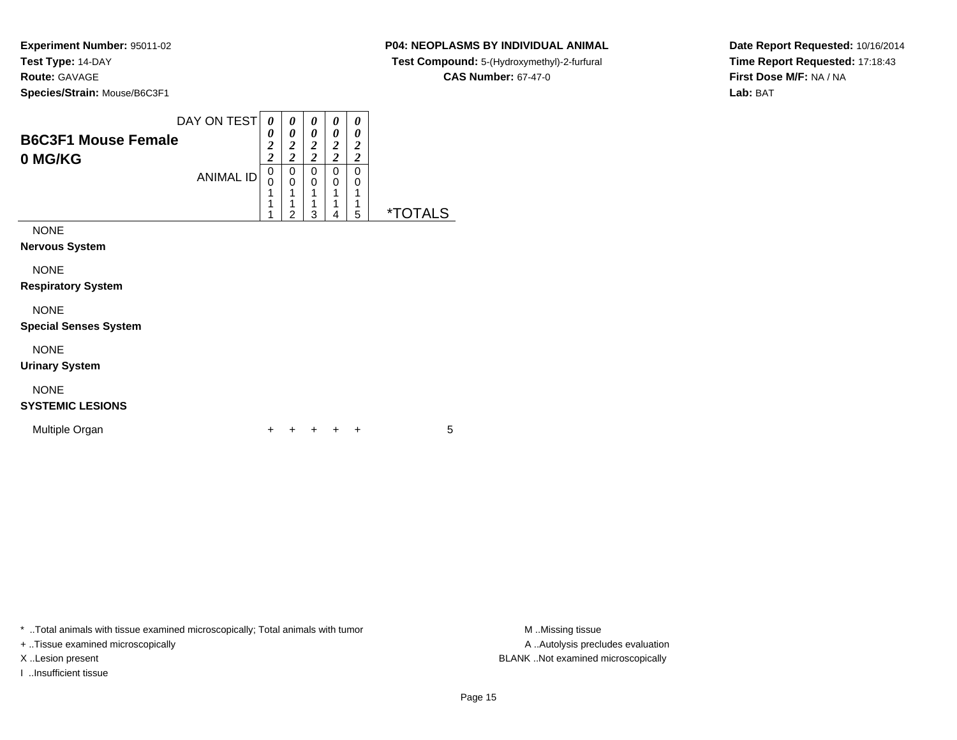### **P04: NEOPLASMS BY INDIVIDUAL ANIMAL**

**Test Compound:** 5-(Hydroxymethyl)-2-furfural

**CAS Number:** 67-47-0

**Date Report Requested:** 10/16/2014**Time Report Requested:** 17:18:43**First Dose M/F:** NA / NA**Lab:** BAT

| <b>B6C3F1 Mouse Female</b><br>0 MG/KG       | DAY ON TEST<br><b>ANIMAL ID</b> | 0<br>0<br>$\boldsymbol{2}$<br>$\overline{2}$<br>0<br>0 | 0<br>0<br>$\frac{2}{2}$<br>$\begin{smallmatrix}0\\0\end{smallmatrix}$ | 0<br>0<br>$\frac{2}{2}$<br>0<br>0 | 0<br>0<br>$\frac{2}{2}$<br>0<br>0 | 0<br>0<br>$\boldsymbol{2}$<br>$\overline{c}$<br>0<br>0 |                       |
|---------------------------------------------|---------------------------------|--------------------------------------------------------|-----------------------------------------------------------------------|-----------------------------------|-----------------------------------|--------------------------------------------------------|-----------------------|
|                                             |                                 | 1<br>1<br>1                                            | 1<br>1<br>$\overline{2}$                                              | 1<br>1<br>3                       | 1<br>1<br>4                       | 1<br>1<br>5                                            | <i><b>*TOTALS</b></i> |
| <b>NONE</b><br>Nervous System               |                                 |                                                        |                                                                       |                                   |                                   |                                                        |                       |
| <b>NONE</b><br><b>Respiratory System</b>    |                                 |                                                        |                                                                       |                                   |                                   |                                                        |                       |
| <b>NONE</b><br><b>Special Senses System</b> |                                 |                                                        |                                                                       |                                   |                                   |                                                        |                       |
| <b>NONE</b><br><b>Urinary System</b>        |                                 |                                                        |                                                                       |                                   |                                   |                                                        |                       |

# NONE

**SYSTEMIC LESIONS**

Multiple Organn  $+$ 

<sup>+</sup> <sup>+</sup> <sup>+</sup> <sup>+</sup> <sup>5</sup>

\* ..Total animals with tissue examined microscopically; Total animals with tumor **M** . Missing tissue M ..Missing tissue

+ ..Tissue examined microscopically

I ..Insufficient tissue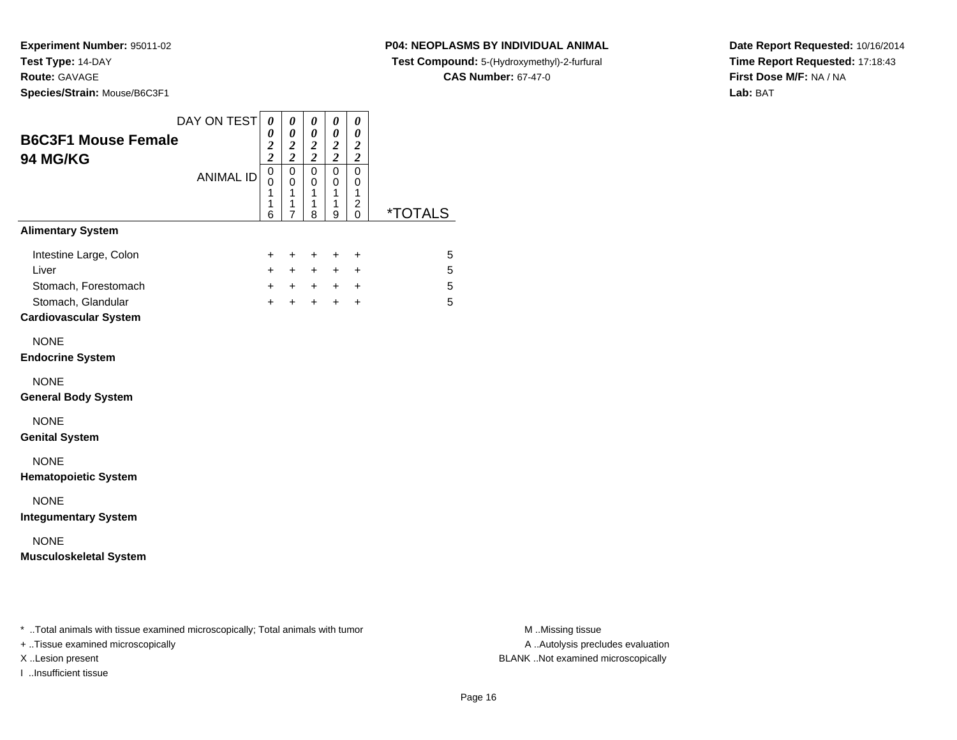I ..Insufficient tissue

**P04: NEOPLASMS BY INDIVIDUAL ANIMAL**

**Test Compound:** 5-(Hydroxymethyl)-2-furfural

**CAS Number:** 67-47-0

**Date Report Requested:** 10/16/2014**Time Report Requested:** 17:18:43**First Dose M/F:** NA / NA**Lab:** BAT

| <b>B6C3F1 Mouse Female</b>                                                                                          | DAY ON TEST      | 0<br>$\pmb{\theta}$                              | 0<br>$\boldsymbol{\theta}$<br>$\overline{\mathbf{c}}$                 | 0<br>$\boldsymbol{\theta}$                                             | 0<br>$\boldsymbol{\theta}$                       | 0<br>$\boldsymbol{\theta}$<br>$\boldsymbol{2}$               |                       |
|---------------------------------------------------------------------------------------------------------------------|------------------|--------------------------------------------------|-----------------------------------------------------------------------|------------------------------------------------------------------------|--------------------------------------------------|--------------------------------------------------------------|-----------------------|
| 94 MG/KG                                                                                                            | <b>ANIMAL ID</b> | $\frac{2}{2}$<br>$\mathbf 0$<br>0<br>1<br>1<br>6 | $\overline{\mathbf{c}}$<br>$\mathbf 0$<br>0<br>1<br>$\mathbf{1}$<br>7 | $\frac{2}{2}$<br>$\mathbf 0$<br>0<br>$\mathbf{1}$<br>$\mathbf{1}$<br>8 | $\frac{2}{2}$<br>$\mathbf 0$<br>0<br>1<br>1<br>9 | $\overline{2}$<br>$\mathbf 0$<br>0<br>$\mathbf{1}$<br>2<br>0 | <i><b>*TOTALS</b></i> |
| <b>Alimentary System</b>                                                                                            |                  |                                                  |                                                                       |                                                                        |                                                  |                                                              |                       |
| Intestine Large, Colon<br>Liver<br>Stomach, Forestomach<br>Stomach, Glandular<br><b>Cardiovascular System</b>       |                  | +<br>$\ddot{}$<br>+<br>$+$                       | +<br>$+$<br>$+$<br>$+$                                                | +<br>$+$<br>$+$<br>$+$                                                 | +<br>$+$<br>$+$                                  | +<br>$\ddot{}$<br>$+$ $+$<br>$\ddot{}$                       | 5<br>5<br>5<br>5      |
| <b>NONE</b><br><b>Endocrine System</b>                                                                              |                  |                                                  |                                                                       |                                                                        |                                                  |                                                              |                       |
| <b>NONE</b><br><b>General Body System</b>                                                                           |                  |                                                  |                                                                       |                                                                        |                                                  |                                                              |                       |
| <b>NONE</b><br><b>Genital System</b>                                                                                |                  |                                                  |                                                                       |                                                                        |                                                  |                                                              |                       |
| <b>NONE</b><br><b>Hematopoietic System</b>                                                                          |                  |                                                  |                                                                       |                                                                        |                                                  |                                                              |                       |
| <b>NONE</b><br><b>Integumentary System</b>                                                                          |                  |                                                  |                                                                       |                                                                        |                                                  |                                                              |                       |
| <b>NONE</b><br><b>Musculoskeletal System</b>                                                                        |                  |                                                  |                                                                       |                                                                        |                                                  |                                                              |                       |
|                                                                                                                     |                  |                                                  |                                                                       |                                                                        |                                                  |                                                              |                       |
| * Total animals with tissue examined microscopically; Total animals with tumor<br>+ Tissue examined microscopically |                  |                                                  |                                                                       |                                                                        |                                                  |                                                              |                       |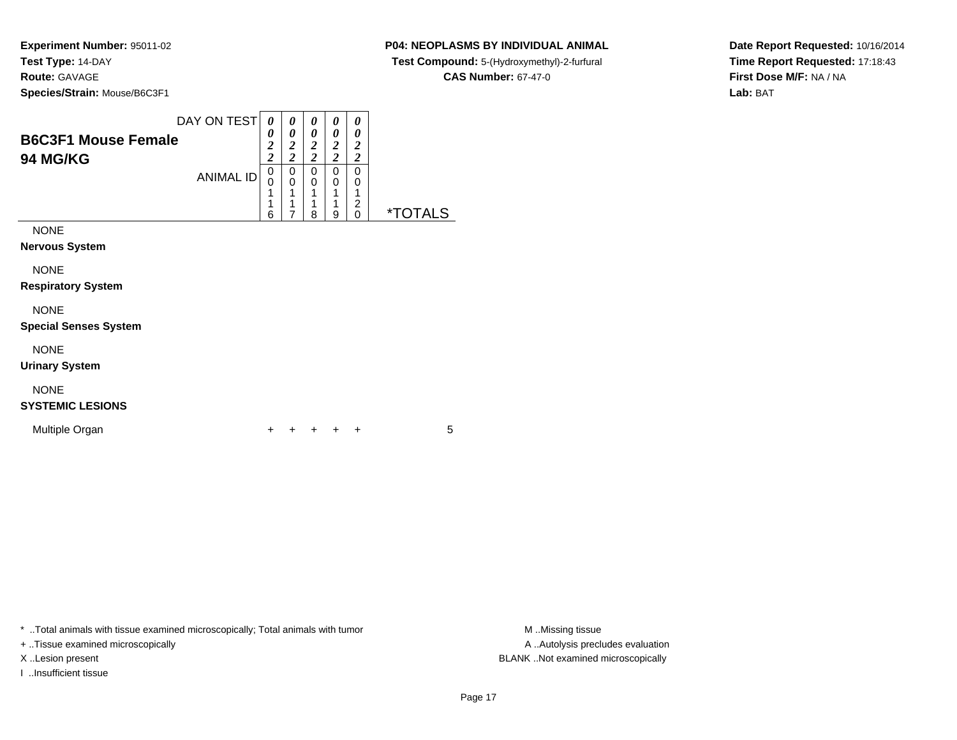### **P04: NEOPLASMS BY INDIVIDUAL ANIMAL**

**Test Compound:** 5-(Hydroxymethyl)-2-furfural

**CAS Number:** 67-47-0

**Date Report Requested:** 10/16/2014**Time Report Requested:** 17:18:43**First Dose M/F:** NA / NA**Lab:** BAT

| <b>B6C3F1 Mouse Female</b><br><b>94 MG/KG</b> | DAY ON TEST<br><b>ANIMAL ID</b> | 0<br>0<br>$\boldsymbol{2}$<br>$\overline{c}$<br>0<br>0 | 0<br>0<br>2<br>$\overline{2}$<br>0<br>0 | 0<br>0<br>2<br>$\overline{c}$<br>0<br>0 | 0<br>0<br>$\boldsymbol{2}$<br>$\overline{c}$<br>0<br>0 | 0<br>0<br>2<br>$\overline{c}$<br>0<br>0 |                       |
|-----------------------------------------------|---------------------------------|--------------------------------------------------------|-----------------------------------------|-----------------------------------------|--------------------------------------------------------|-----------------------------------------|-----------------------|
| <b>NONE</b><br><b>Nervous System</b>          |                                 | 1<br>1<br>6                                            | 1<br>7                                  | 1<br>1<br>8                             | 1<br>1<br>9                                            | 2<br>0                                  | <i><b>*TOTALS</b></i> |
| <b>NONE</b><br><b>Respiratory System</b>      |                                 |                                                        |                                         |                                         |                                                        |                                         |                       |
| <b>NONE</b><br><b>Special Senses System</b>   |                                 |                                                        |                                         |                                         |                                                        |                                         |                       |
| <b>NONE</b>                                   |                                 |                                                        |                                         |                                         |                                                        |                                         |                       |

**Urinary System**

# NONE

### **SYSTEMIC LESIONS**

Multiple Organn  $+$ 

<sup>+</sup> <sup>+</sup> <sup>+</sup> <sup>+</sup> <sup>5</sup>

\* ..Total animals with tissue examined microscopically; Total animals with tumor **M** . Missing tissue M ..Missing tissue

+ ..Tissue examined microscopically

I ..Insufficient tissue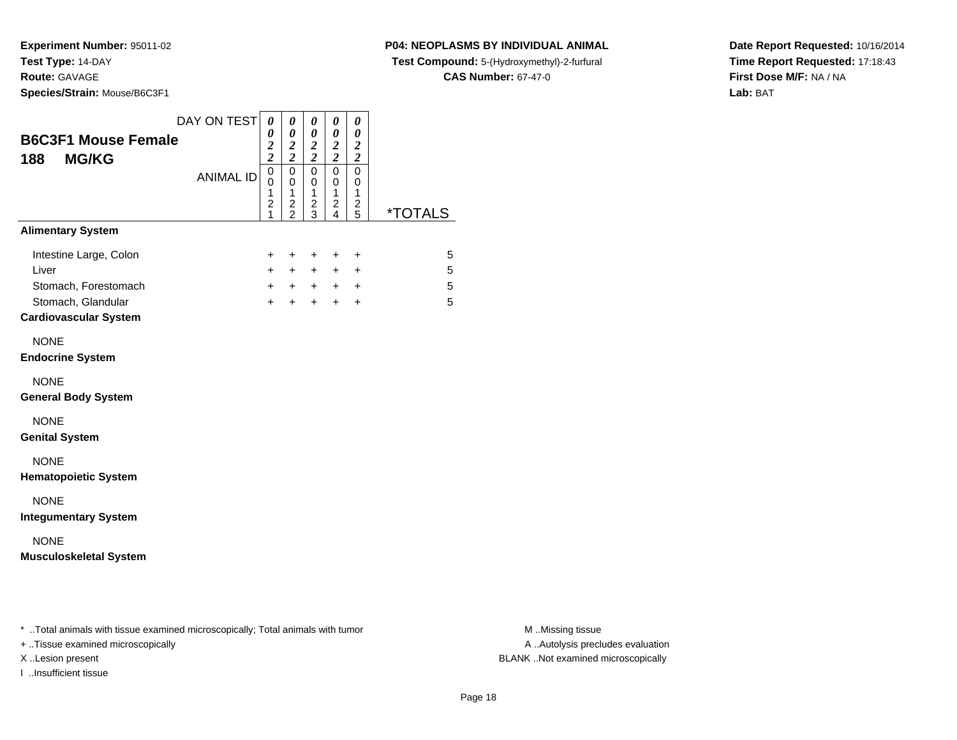**Species/Strain:** Mouse/B6C3F1

### **P04: NEOPLASMS BY INDIVIDUAL ANIMAL**

**Test Compound:** 5-(Hydroxymethyl)-2-furfural

**CAS Number:** 67-47-0

**Date Report Requested:** 10/16/2014**Time Report Requested:** 17:18:43**First Dose M/F:** NA / NA**Lab:** BAT

| <b>B6C3F1 Mouse Female</b><br><b>MG/KG</b><br>188                                                             | DAY ON TEST      | $\boldsymbol{\theta}$<br>0<br>$\frac{2}{2}$                | $\pmb{\theta}$<br>0<br>$\boldsymbol{2}$<br>$\overline{2}$ | 0<br>$\boldsymbol{\theta}$<br>$\frac{2}{2}$       | 0<br>0<br>$\frac{2}{2}$                           | 0<br>0<br>$\boldsymbol{2}$<br>$\overline{c}$            |                       |
|---------------------------------------------------------------------------------------------------------------|------------------|------------------------------------------------------------|-----------------------------------------------------------|---------------------------------------------------|---------------------------------------------------|---------------------------------------------------------|-----------------------|
|                                                                                                               | <b>ANIMAL ID</b> | $\overline{0}$<br>0<br>$\mathbf{1}$<br>$\overline{c}$<br>1 | $\mathbf 0$<br>0<br>1<br>$\frac{2}{2}$                    | $\mathbf 0$<br>0<br>$\mathbf{1}$<br>$\frac{2}{3}$ | $\mathbf 0$<br>0<br>$\mathbf{1}$<br>$\frac{2}{4}$ | $\mathbf 0$<br>0<br>$\mathbf{1}$<br>2<br>$\overline{5}$ | <i><b>*TOTALS</b></i> |
| <b>Alimentary System</b>                                                                                      |                  |                                                            |                                                           |                                                   |                                                   |                                                         |                       |
| Intestine Large, Colon<br>Liver<br>Stomach, Forestomach<br>Stomach, Glandular<br><b>Cardiovascular System</b> |                  | +<br>$\ddot{}$<br>$+$<br>$+$                               | +<br>$+$<br>$+$<br>$+$                                    | $\ddot{}$<br>$+$<br>$+$<br>$+$                    | +<br>$+$<br>$+$<br>$+$                            | $\ddot{}$<br>$\ddot{}$<br>$\ddot{}$<br>$\ddot{}$        | 5<br>5<br>5<br>5      |
| <b>NONE</b><br><b>Endocrine System</b>                                                                        |                  |                                                            |                                                           |                                                   |                                                   |                                                         |                       |
| <b>NONE</b><br><b>General Body System</b>                                                                     |                  |                                                            |                                                           |                                                   |                                                   |                                                         |                       |
| <b>NONE</b><br><b>Genital System</b>                                                                          |                  |                                                            |                                                           |                                                   |                                                   |                                                         |                       |
| <b>NONE</b><br><b>Hematopoietic System</b>                                                                    |                  |                                                            |                                                           |                                                   |                                                   |                                                         |                       |
| <b>NONE</b><br><b>Integumentary System</b>                                                                    |                  |                                                            |                                                           |                                                   |                                                   |                                                         |                       |
| <b>NONE</b><br><b>Musculoskeletal System</b>                                                                  |                  |                                                            |                                                           |                                                   |                                                   |                                                         |                       |
|                                                                                                               |                  |                                                            |                                                           |                                                   |                                                   |                                                         |                       |
| * Total animals with tissue examined microscopically; Total animals with tumor                                |                  |                                                            |                                                           |                                                   |                                                   |                                                         |                       |

+ ..Tissue examined microscopically

I ..Insufficient tissue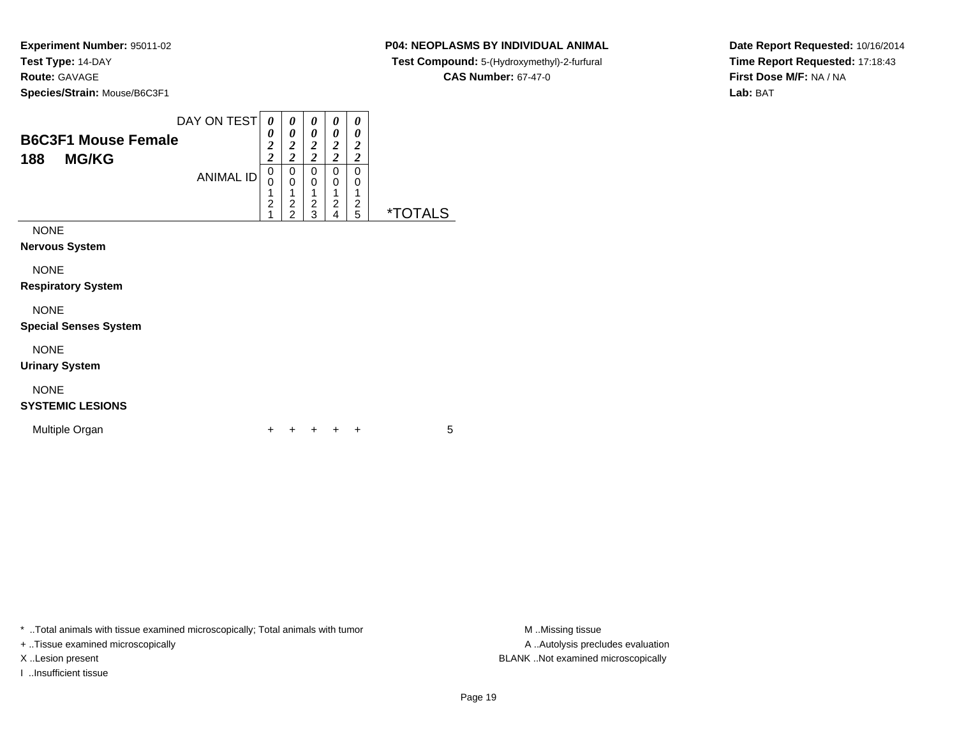### **P04: NEOPLASMS BY INDIVIDUAL ANIMAL**

**Test Compound:** 5-(Hydroxymethyl)-2-furfural

**CAS Number:** 67-47-0

**Date Report Requested:** 10/16/2014**Time Report Requested:** 17:18:43**First Dose M/F:** NA / NA**Lab:** BAT

| <b>B6C3F1 Mouse Female</b><br>188<br><b>MG/KG</b> | DAY ON TEST      | 0<br>0<br>$\boldsymbol{2}$<br>$\overline{\mathbf{c}}$ | 0<br>0<br>$\boldsymbol{2}$<br>$\overline{c}$              | 0<br>0<br>$\boldsymbol{2}$<br>$\overline{c}$ | 0<br>0<br>$\boldsymbol{2}$<br>$\overline{\mathbf{c}}$ | 0<br>0<br>2<br>2 |                       |
|---------------------------------------------------|------------------|-------------------------------------------------------|-----------------------------------------------------------|----------------------------------------------|-------------------------------------------------------|------------------|-----------------------|
|                                                   | <b>ANIMAL ID</b> | 0<br>1<br>$\overline{c}$<br>1                         | 0<br>$\mathbf 0$<br>1<br>$\overline{c}$<br>$\overline{2}$ | 0<br>0<br>1<br>$\overline{c}$<br>3           | 0<br>0<br>2<br>4                                      | 0<br>0<br>2<br>5 | <i><b>*TOTALS</b></i> |
| <b>NONE</b><br>Nervous System                     |                  |                                                       |                                                           |                                              |                                                       |                  |                       |
| <b>NONE</b><br><b>Respiratory System</b>          |                  |                                                       |                                                           |                                              |                                                       |                  |                       |
| <b>NONE</b><br><b>Special Senses System</b>       |                  |                                                       |                                                           |                                              |                                                       |                  |                       |
| <b>NONE</b>                                       |                  |                                                       |                                                           |                                              |                                                       |                  |                       |

**Urinary System**

# NONE

### **SYSTEMIC LESIONS**

Multiple Organn  $+$ 

<sup>+</sup> <sup>+</sup> <sup>+</sup> <sup>+</sup> <sup>5</sup>

\* ..Total animals with tissue examined microscopically; Total animals with tumor **M** . Missing tissue M ..Missing tissue

+ ..Tissue examined microscopically

I ..Insufficient tissue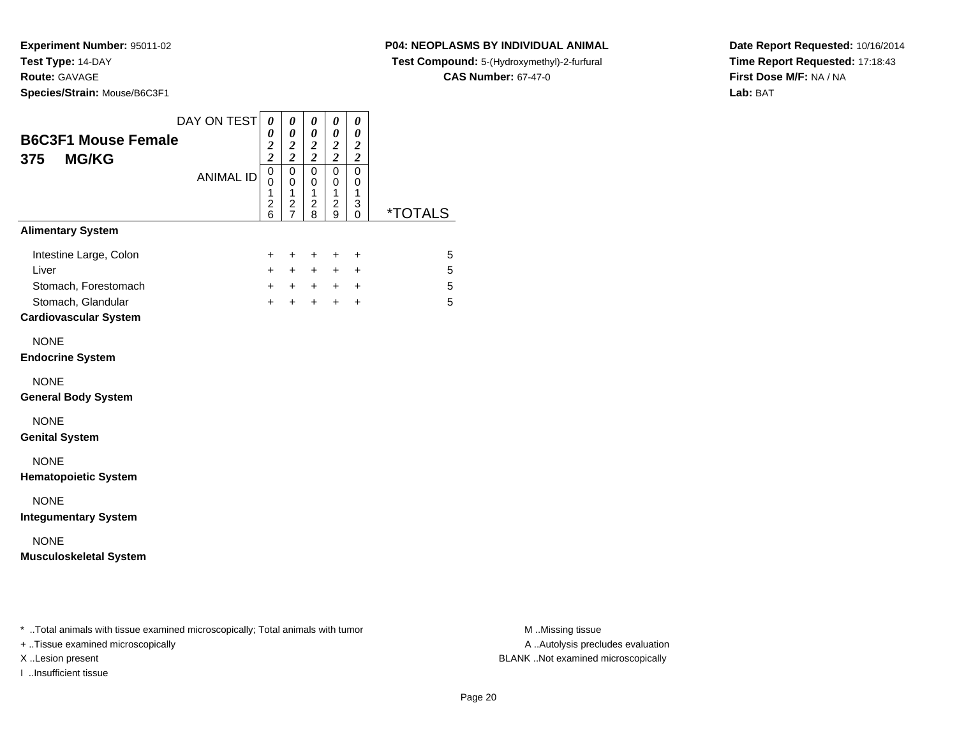**Species/Strain:** Mouse/B6C3F1

I ..Insufficient tissue

### **P04: NEOPLASMS BY INDIVIDUAL ANIMAL**

**Test Compound:** 5-(Hydroxymethyl)-2-furfural

**CAS Number:** 67-47-0

**Date Report Requested:** 10/16/2014**Time Report Requested:** 17:18:43**First Dose M/F:** NA / NA**Lab:** BAT

| <b>B6C3F1 Mouse Female</b><br><b>MG/KG</b><br>375                                                                   | DAY ON TEST      | $\boldsymbol{\theta}$<br>0<br>$\frac{2}{2}$           | 0<br>0<br>$\boldsymbol{2}$<br>$\overline{\mathbf{c}}$ | 0<br>0<br>$\frac{2}{2}$                   | 0<br>0<br>$\boldsymbol{2}$<br>$\overline{\mathbf{c}}$ | 0<br>0<br>$\boldsymbol{2}$<br>$\boldsymbol{2}$ |                       |
|---------------------------------------------------------------------------------------------------------------------|------------------|-------------------------------------------------------|-------------------------------------------------------|-------------------------------------------|-------------------------------------------------------|------------------------------------------------|-----------------------|
|                                                                                                                     | <b>ANIMAL ID</b> | $\mathbf 0$<br>0<br>1<br>$\overline{\mathbf{c}}$<br>6 | $\mathbf 0$<br>0<br>1<br>$\overline{\mathbf{c}}$<br>7 | $\Omega$<br>0<br>1<br>$\overline{c}$<br>8 | $\mathbf 0$<br>0<br>1<br>2<br>9                       | $\mathbf 0$<br>0<br>1<br>3<br>0                | <i><b>*TOTALS</b></i> |
| <b>Alimentary System</b>                                                                                            |                  |                                                       |                                                       |                                           |                                                       |                                                |                       |
| Intestine Large, Colon<br>Liver<br>Stomach, Forestomach<br>Stomach, Glandular<br><b>Cardiovascular System</b>       |                  | +<br>$\ddot{}$<br>$+$<br>$+$                          | +<br>$\ddot{}$                                        | +<br>$+$ $+$<br>$+$ $+$<br>$+$            | +<br>$+$<br>$+$                                       | $\ddot{}$<br>$\ddot{}$<br>$+$ $+$<br>$\ddot{}$ | 5<br>5<br>5<br>5      |
| <b>NONE</b><br><b>Endocrine System</b>                                                                              |                  |                                                       |                                                       |                                           |                                                       |                                                |                       |
| <b>NONE</b><br><b>General Body System</b>                                                                           |                  |                                                       |                                                       |                                           |                                                       |                                                |                       |
| <b>NONE</b><br><b>Genital System</b>                                                                                |                  |                                                       |                                                       |                                           |                                                       |                                                |                       |
| <b>NONE</b><br><b>Hematopoietic System</b>                                                                          |                  |                                                       |                                                       |                                           |                                                       |                                                |                       |
| <b>NONE</b><br><b>Integumentary System</b>                                                                          |                  |                                                       |                                                       |                                           |                                                       |                                                |                       |
| <b>NONE</b><br><b>Musculoskeletal System</b>                                                                        |                  |                                                       |                                                       |                                           |                                                       |                                                |                       |
|                                                                                                                     |                  |                                                       |                                                       |                                           |                                                       |                                                |                       |
| * Total animals with tissue examined microscopically; Total animals with tumor<br>+ Tissue examined microscopically |                  |                                                       |                                                       |                                           |                                                       |                                                |                       |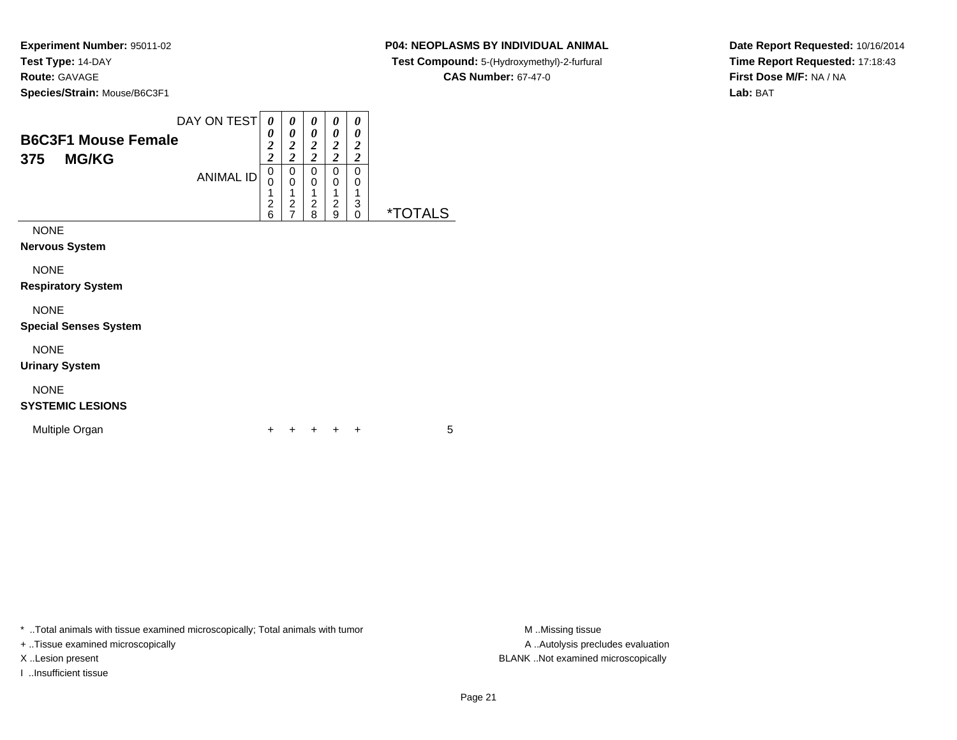### **P04: NEOPLASMS BY INDIVIDUAL ANIMAL**

**Test Compound:** 5-(Hydroxymethyl)-2-furfural

**CAS Number:** 67-47-0

**Date Report Requested:** 10/16/2014**Time Report Requested:** 17:18:43**First Dose M/F:** NA / NA**Lab:** BAT

| <b>B6C3F1 Mouse Female</b><br><b>MG/KG</b><br>375 | DAY ON TEST      | 0<br>0<br>2<br>$\overline{\mathbf{c}}$<br>0 | 0<br>0<br>$\overline{2}$<br>$\overline{\mathbf{c}}$<br>0 | 0<br>0<br>$\overline{\mathbf{2}}$<br>2<br>0 | 0<br>0<br>2<br>$\overline{2}$<br>0 | 0<br>0<br>$\overline{2}$<br>$\overline{2}$<br>0 |                       |
|---------------------------------------------------|------------------|---------------------------------------------|----------------------------------------------------------|---------------------------------------------|------------------------------------|-------------------------------------------------|-----------------------|
|                                                   | <b>ANIMAL ID</b> | 0<br>1<br>2<br>6                            | 0<br>$\overline{2}$                                      | 0<br>2<br>8                                 | 0<br>$\overline{2}$<br>9           | 0<br>1<br>3<br>0                                | <i><b>*TOTALS</b></i> |
| <b>NONE</b>                                       |                  |                                             |                                                          |                                             |                                    |                                                 |                       |
| <b>Nervous System</b>                             |                  |                                             |                                                          |                                             |                                    |                                                 |                       |
| <b>NONE</b>                                       |                  |                                             |                                                          |                                             |                                    |                                                 |                       |
| <b>Respiratory System</b>                         |                  |                                             |                                                          |                                             |                                    |                                                 |                       |
| <b>NONE</b>                                       |                  |                                             |                                                          |                                             |                                    |                                                 |                       |
| <b>Special Senses System</b>                      |                  |                                             |                                                          |                                             |                                    |                                                 |                       |

NONE

**Urinary System**

# NONE

### **SYSTEMIC LESIONS**

Multiple Organn  $+$ 

<sup>+</sup> <sup>+</sup> <sup>+</sup> <sup>+</sup> <sup>5</sup>

\* ..Total animals with tissue examined microscopically; Total animals with tumor **M** . Missing tissue M ..Missing tissue

+ ..Tissue examined microscopically

I ..Insufficient tissue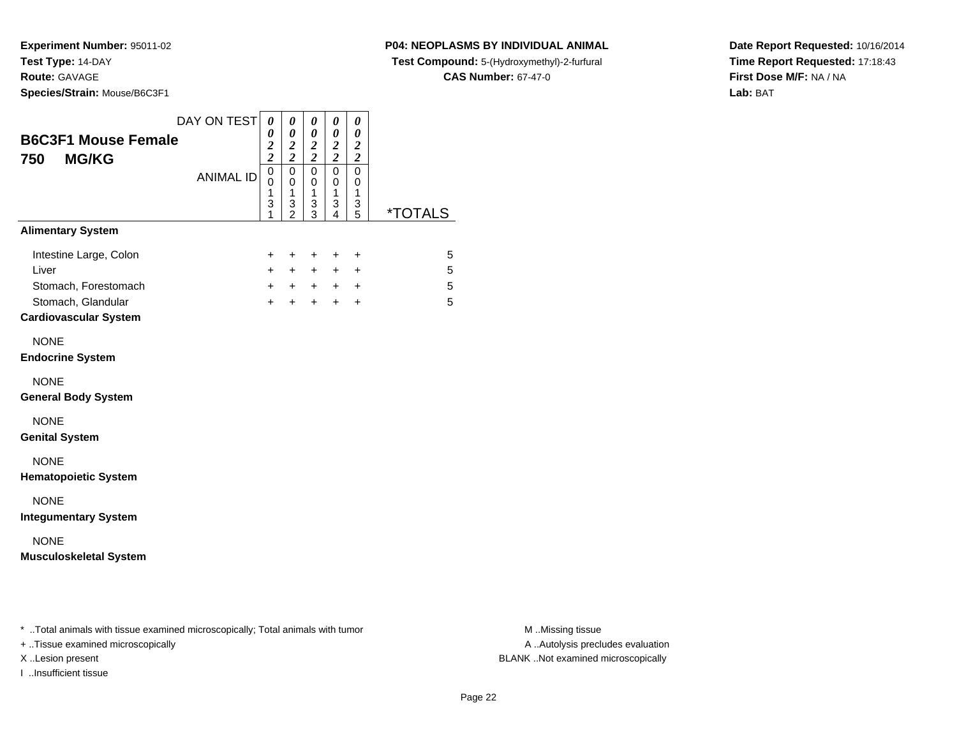**Species/Strain:** Mouse/B6C3F1

I ..Insufficient tissue

### **P04: NEOPLASMS BY INDIVIDUAL ANIMAL**

**Test Compound:** 5-(Hydroxymethyl)-2-furfural

**CAS Number:** 67-47-0

**Date Report Requested:** 10/16/2014**Time Report Requested:** 17:18:43**First Dose M/F:** NA / NA**Lab:** BAT

| <b>B6C3F1 Mouse Female</b><br><b>MG/KG</b><br>750                                                                   | DAY ON TEST      | $\boldsymbol{\theta}$<br>0<br>$\frac{2}{2}$ | $\boldsymbol{\theta}$<br>0<br>$\boldsymbol{2}$<br>$\overline{2}$ | 0<br>$\boldsymbol{\theta}$<br>$\frac{2}{2}$ | 0<br>0<br>$\boldsymbol{2}$<br>$\overline{\mathbf{c}}$ | 0<br>0<br>$\boldsymbol{2}$<br>$\overline{\mathbf{c}}$ |                       |
|---------------------------------------------------------------------------------------------------------------------|------------------|---------------------------------------------|------------------------------------------------------------------|---------------------------------------------|-------------------------------------------------------|-------------------------------------------------------|-----------------------|
|                                                                                                                     | <b>ANIMAL ID</b> | 0<br>0<br>1<br>3<br>1                       | $\mathbf 0$<br>0<br>1<br>3<br>$\overline{2}$                     | $\mathbf 0$<br>0<br>1<br>3<br>3             | $\mathbf 0$<br>0<br>1<br>3<br>4                       | $\mathbf 0$<br>0<br>1<br>3<br>5                       | <i><b>*TOTALS</b></i> |
| <b>Alimentary System</b>                                                                                            |                  |                                             |                                                                  |                                             |                                                       |                                                       |                       |
| Intestine Large, Colon<br>Liver<br>Stomach, Forestomach<br>Stomach, Glandular<br><b>Cardiovascular System</b>       |                  | $\ddot{}$<br>$+$<br>$+$<br>$+$              | $\ddot{}$<br>$\ddot{}$                                           | $\ddot{}$<br>$+$ $+$<br>$+$ $+$<br>$+$      | +<br>$+$<br>$+$                                       | $\ddot{}$<br>$\ddot{}$<br>$+$ $+$<br>$\ddot{}$        | 5<br>5<br>5<br>5      |
| <b>NONE</b><br><b>Endocrine System</b>                                                                              |                  |                                             |                                                                  |                                             |                                                       |                                                       |                       |
| <b>NONE</b><br><b>General Body System</b>                                                                           |                  |                                             |                                                                  |                                             |                                                       |                                                       |                       |
| <b>NONE</b><br><b>Genital System</b>                                                                                |                  |                                             |                                                                  |                                             |                                                       |                                                       |                       |
| <b>NONE</b><br><b>Hematopoietic System</b>                                                                          |                  |                                             |                                                                  |                                             |                                                       |                                                       |                       |
| <b>NONE</b><br><b>Integumentary System</b>                                                                          |                  |                                             |                                                                  |                                             |                                                       |                                                       |                       |
| <b>NONE</b><br><b>Musculoskeletal System</b>                                                                        |                  |                                             |                                                                  |                                             |                                                       |                                                       |                       |
|                                                                                                                     |                  |                                             |                                                                  |                                             |                                                       |                                                       |                       |
| * Total animals with tissue examined microscopically; Total animals with tumor<br>+ Tissue examined microscopically |                  |                                             |                                                                  |                                             |                                                       |                                                       |                       |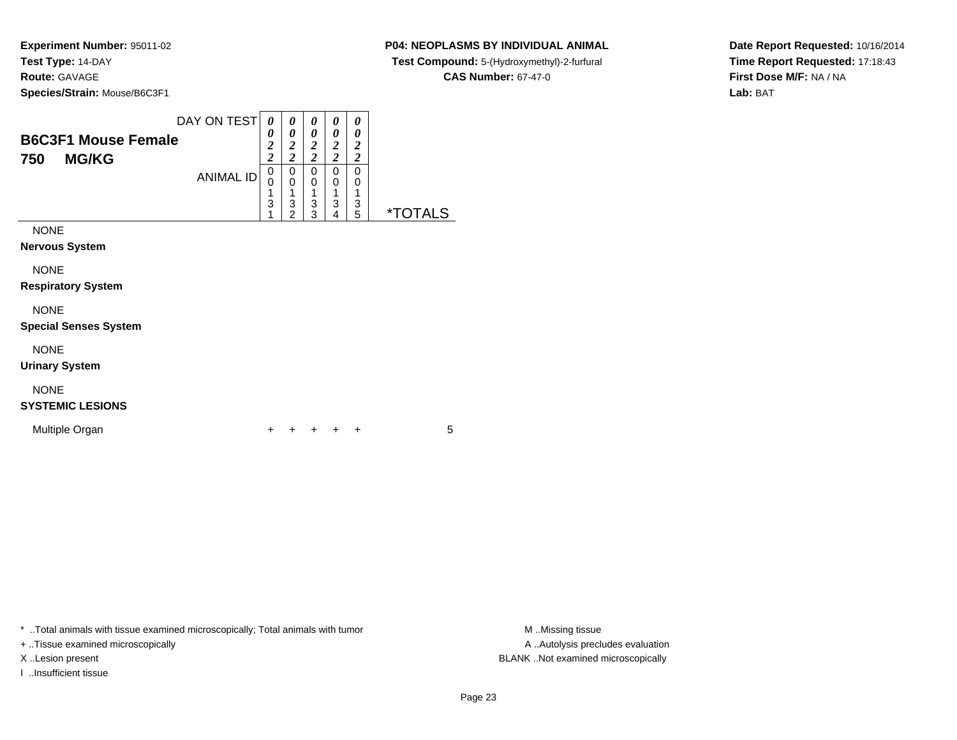### **P04: NEOPLASMS BY INDIVIDUAL ANIMAL**

**Test Compound:** 5-(Hydroxymethyl)-2-furfural

**CAS Number:** 67-47-0

**Date Report Requested:** 10/16/2014**Time Report Requested:** 17:18:43**First Dose M/F:** NA / NA**Lab:** BAT

|                            | DAY ON TEST      | 0                                  | 0                                         | 0                                  | 0                   | 0                   |                       |
|----------------------------|------------------|------------------------------------|-------------------------------------------|------------------------------------|---------------------|---------------------|-----------------------|
| <b>B6C3F1 Mouse Female</b> |                  | 0                                  | 0                                         | 0                                  | 0                   | 0                   |                       |
|                            |                  | $\boldsymbol{2}$<br>$\overline{c}$ | $\overline{\mathbf{c}}$<br>$\overline{2}$ | $\boldsymbol{2}$<br>$\overline{c}$ | 2<br>$\overline{c}$ | 2<br>$\overline{c}$ |                       |
| <b>MG/KG</b><br>750        |                  | 0                                  | 0                                         | 0                                  | 0                   | 0                   |                       |
|                            | <b>ANIMAL ID</b> | 0                                  | 0                                         | 0                                  | 0                   | 0                   |                       |
|                            |                  | 1                                  | 1                                         | 1                                  | 1                   |                     |                       |
|                            |                  | 3<br>1                             | 3<br>$\overline{c}$                       | 3<br>3                             | 3<br>4              | 3<br>5              | <i><b>*TOTALS</b></i> |
|                            |                  |                                    |                                           |                                    |                     |                     |                       |
| <b>NONE</b>                |                  |                                    |                                           |                                    |                     |                     |                       |
| Nervous System             |                  |                                    |                                           |                                    |                     |                     |                       |
| <b>NONE</b>                |                  |                                    |                                           |                                    |                     |                     |                       |
|                            |                  |                                    |                                           |                                    |                     |                     |                       |
| <b>Respiratory System</b>  |                  |                                    |                                           |                                    |                     |                     |                       |
| <b>NONE</b>                |                  |                                    |                                           |                                    |                     |                     |                       |
| Special Senses System      |                  |                                    |                                           |                                    |                     |                     |                       |
| <b>NONE</b>                |                  |                                    |                                           |                                    |                     |                     |                       |

**Urinary System**

# NONE

### **SYSTEMIC LESIONS**

Multiple Organn  $+$ 

<sup>+</sup> <sup>+</sup> <sup>+</sup> <sup>+</sup> <sup>5</sup>

\* ..Total animals with tissue examined microscopically; Total animals with tumor **M** . Missing tissue M ..Missing tissue

+ ..Tissue examined microscopically

I ..Insufficient tissue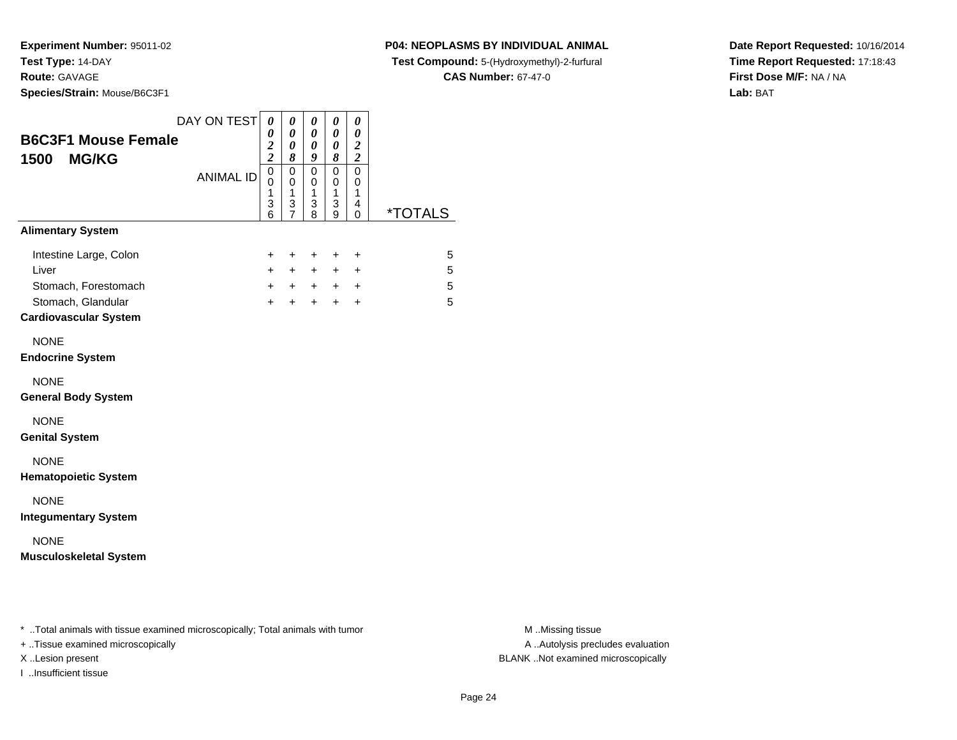### **P04: NEOPLASMS BY INDIVIDUAL ANIMAL**

**Test Compound:** 5-(Hydroxymethyl)-2-furfural

**CAS Number:** 67-47-0

**Date Report Requested:** 10/16/2014**Time Report Requested:** 17:18:43**First Dose M/F:** NA / NA**Lab:** BAT

| <b>B6C3F1 Mouse Female</b><br>1500<br><b>MG/KG</b>                             | DAY ON TEST<br><b>ANIMAL ID</b> | $\pmb{\theta}$<br>0<br>$\overline{\mathbf{c}}$<br>$\overline{2}$<br>$\mathbf 0$<br>0<br>1 | 0<br>$\pmb{\theta}$<br>$\boldsymbol{\theta}$<br>8<br>$\pmb{0}$<br>$\mathbf 0$<br>$\mathbf{1}$ | 0<br>$\pmb{\theta}$<br>$\pmb{\theta}$<br>9<br>$\mathsf 0$<br>$\pmb{0}$<br>1 | $\pmb{\theta}$<br>$\pmb{\theta}$<br>$\pmb{\theta}$<br>$\pmb{8}$<br>$\mathsf 0$<br>$\mathbf 0$<br>1 | 0<br>$\pmb{\theta}$<br>$\boldsymbol{2}$<br>$\boldsymbol{2}$<br>$\overline{0}$<br>0<br>1 |                       |                  |
|--------------------------------------------------------------------------------|---------------------------------|-------------------------------------------------------------------------------------------|-----------------------------------------------------------------------------------------------|-----------------------------------------------------------------------------|----------------------------------------------------------------------------------------------------|-----------------------------------------------------------------------------------------|-----------------------|------------------|
|                                                                                |                                 | 3<br>6                                                                                    | $\ensuremath{\mathsf{3}}$<br>7                                                                | $\ensuremath{\mathsf{3}}$<br>8                                              | $\ensuremath{\mathsf{3}}$<br>9                                                                     | $\overline{\mathbf{4}}$<br>0                                                            | <i><b>*TOTALS</b></i> |                  |
| <b>Alimentary System</b>                                                       |                                 |                                                                                           |                                                                                               |                                                                             |                                                                                                    |                                                                                         |                       |                  |
| Intestine Large, Colon                                                         |                                 | +                                                                                         | +                                                                                             | +                                                                           | +                                                                                                  | $\mathbf +$                                                                             | 5                     |                  |
| Liver                                                                          |                                 | $\ddot{}$                                                                                 | $\ddot{}$                                                                                     | $+$                                                                         | $+$                                                                                                | +                                                                                       | 5                     |                  |
| Stomach, Forestomach                                                           |                                 | $+$                                                                                       | $+$                                                                                           | $+$                                                                         | $+$                                                                                                | $\ddot{}$                                                                               | 5                     |                  |
| Stomach, Glandular                                                             |                                 | $+$                                                                                       | $\ddot{}$                                                                                     | $+$                                                                         | $+$                                                                                                | $\ddot{}$                                                                               | 5                     |                  |
| <b>Cardiovascular System</b>                                                   |                                 |                                                                                           |                                                                                               |                                                                             |                                                                                                    |                                                                                         |                       |                  |
| <b>NONE</b>                                                                    |                                 |                                                                                           |                                                                                               |                                                                             |                                                                                                    |                                                                                         |                       |                  |
| <b>Endocrine System</b>                                                        |                                 |                                                                                           |                                                                                               |                                                                             |                                                                                                    |                                                                                         |                       |                  |
| <b>NONE</b>                                                                    |                                 |                                                                                           |                                                                                               |                                                                             |                                                                                                    |                                                                                         |                       |                  |
| <b>General Body System</b>                                                     |                                 |                                                                                           |                                                                                               |                                                                             |                                                                                                    |                                                                                         |                       |                  |
| <b>NONE</b>                                                                    |                                 |                                                                                           |                                                                                               |                                                                             |                                                                                                    |                                                                                         |                       |                  |
| <b>Genital System</b>                                                          |                                 |                                                                                           |                                                                                               |                                                                             |                                                                                                    |                                                                                         |                       |                  |
| <b>NONE</b>                                                                    |                                 |                                                                                           |                                                                                               |                                                                             |                                                                                                    |                                                                                         |                       |                  |
| <b>Hematopoietic System</b>                                                    |                                 |                                                                                           |                                                                                               |                                                                             |                                                                                                    |                                                                                         |                       |                  |
| <b>NONE</b>                                                                    |                                 |                                                                                           |                                                                                               |                                                                             |                                                                                                    |                                                                                         |                       |                  |
| <b>Integumentary System</b>                                                    |                                 |                                                                                           |                                                                                               |                                                                             |                                                                                                    |                                                                                         |                       |                  |
| <b>NONE</b>                                                                    |                                 |                                                                                           |                                                                                               |                                                                             |                                                                                                    |                                                                                         |                       |                  |
| <b>Musculoskeletal System</b>                                                  |                                 |                                                                                           |                                                                                               |                                                                             |                                                                                                    |                                                                                         |                       |                  |
|                                                                                |                                 |                                                                                           |                                                                                               |                                                                             |                                                                                                    |                                                                                         |                       |                  |
|                                                                                |                                 |                                                                                           |                                                                                               |                                                                             |                                                                                                    |                                                                                         |                       |                  |
| * Total animals with tissue examined microscopically; Total animals with tumor |                                 |                                                                                           |                                                                                               |                                                                             |                                                                                                    |                                                                                         |                       | M Missing tissue |

+ ..Tissue examined microscopically

I ..Insufficient tissue